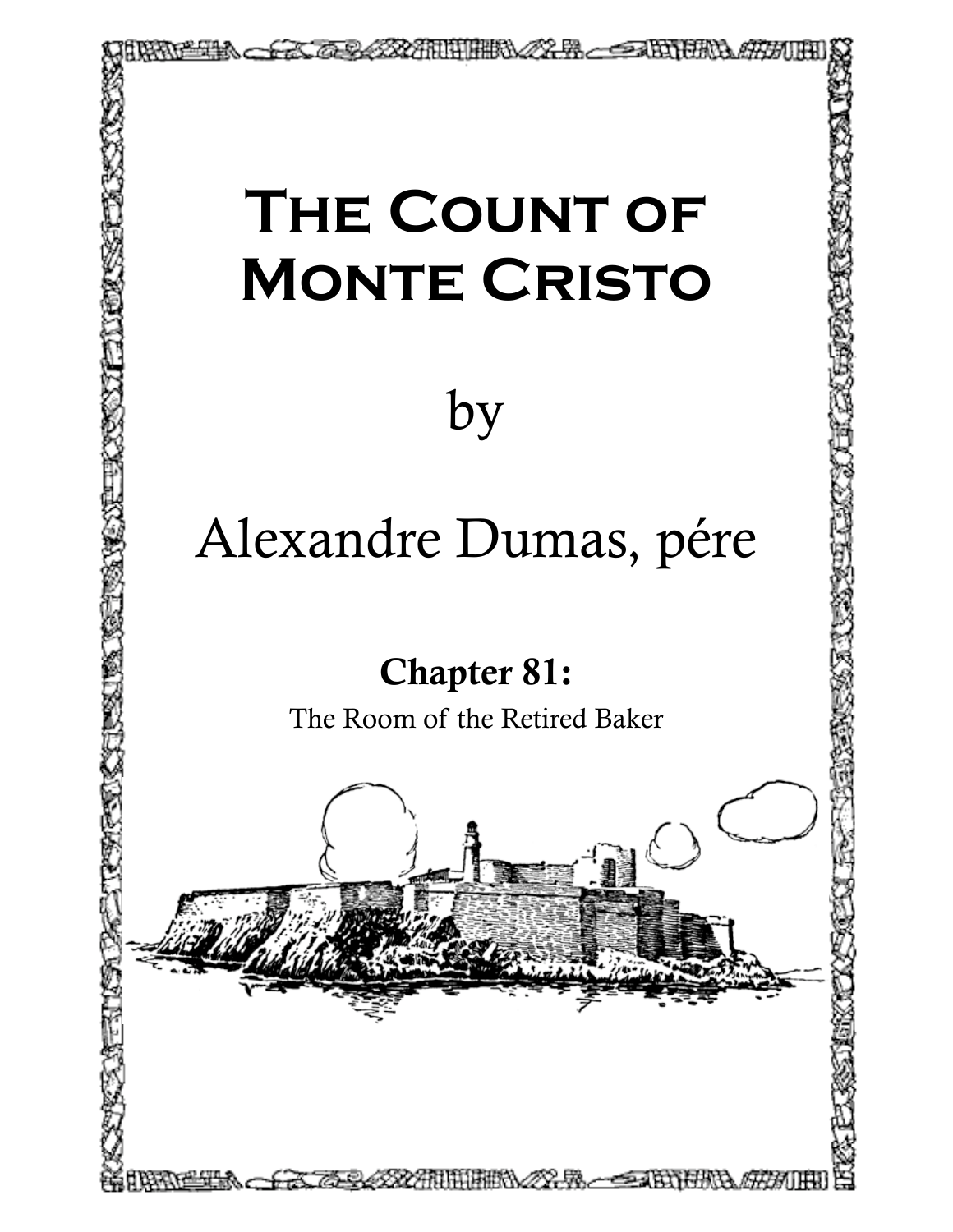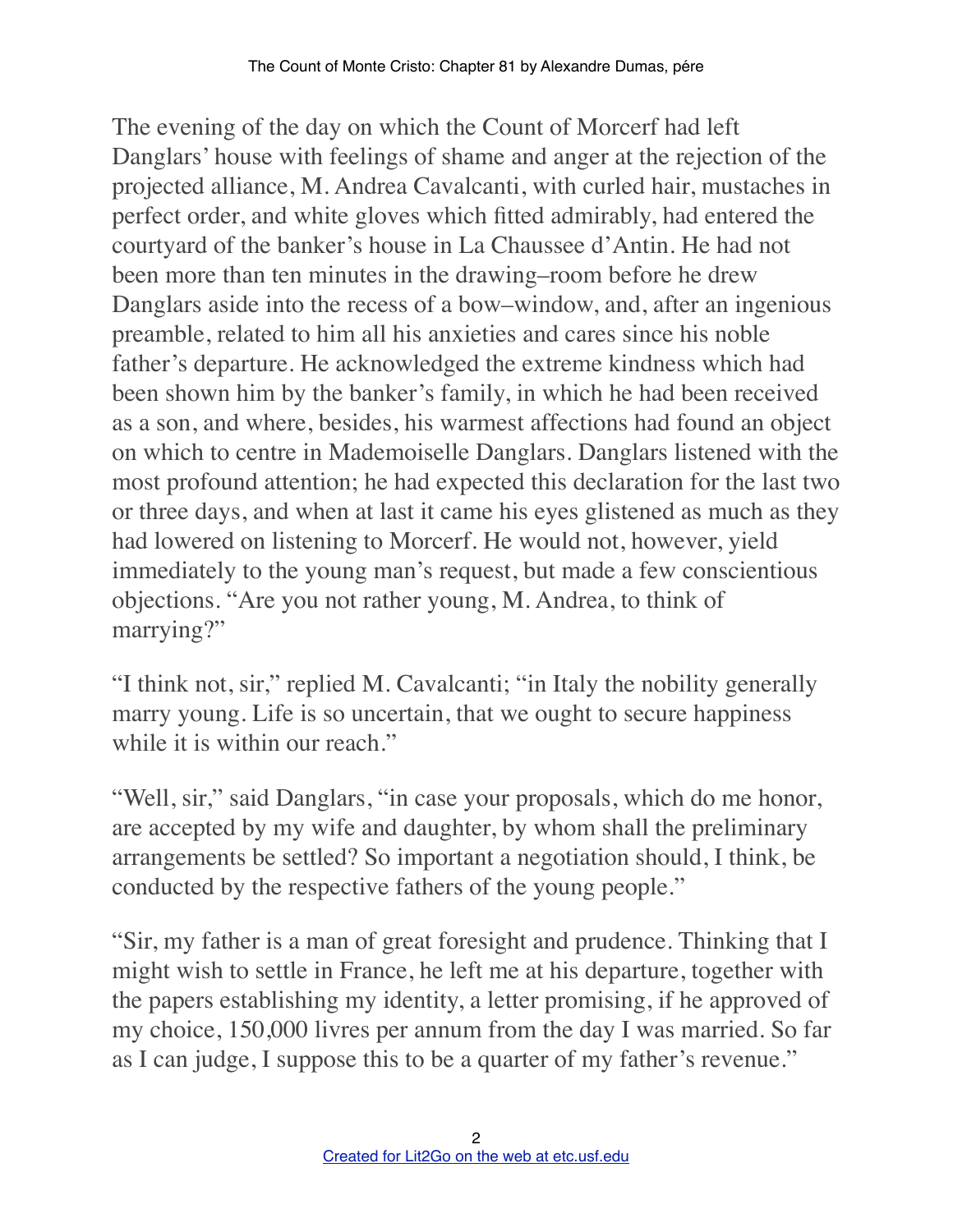The evening of the day on which the Count of Morcerf had left Danglars' house with feelings of shame and anger at the rejection of the projected alliance, M. Andrea Cavalcanti, with curled hair, mustaches in perfect order, and white gloves which fitted admirably, had entered the courtyard of the banker's house in La Chaussee d'Antin. He had not been more than ten minutes in the drawing–room before he drew Danglars aside into the recess of a bow–window, and, after an ingenious preamble, related to him all his anxieties and cares since his noble father's departure. He acknowledged the extreme kindness which had been shown him by the banker's family, in which he had been received as a son, and where, besides, his warmest affections had found an object on which to centre in Mademoiselle Danglars. Danglars listened with the most profound attention; he had expected this declaration for the last two or three days, and when at last it came his eyes glistened as much as they had lowered on listening to Morcerf. He would not, however, yield immediately to the young man's request, but made a few conscientious objections. "Are you not rather young, M. Andrea, to think of marrying?"

"I think not, sir," replied M. Cavalcanti; "in Italy the nobility generally marry young. Life is so uncertain, that we ought to secure happiness while it is within our reach."

"Well, sir," said Danglars, "in case your proposals, which do me honor, are accepted by my wife and daughter, by whom shall the preliminary arrangements be settled? So important a negotiation should, I think, be conducted by the respective fathers of the young people."

"Sir, my father is a man of great foresight and prudence. Thinking that I might wish to settle in France, he left me at his departure, together with the papers establishing my identity, a letter promising, if he approved of my choice, 150,000 livres per annum from the day I was married. So far as I can judge, I suppose this to be a quarter of my father's revenue."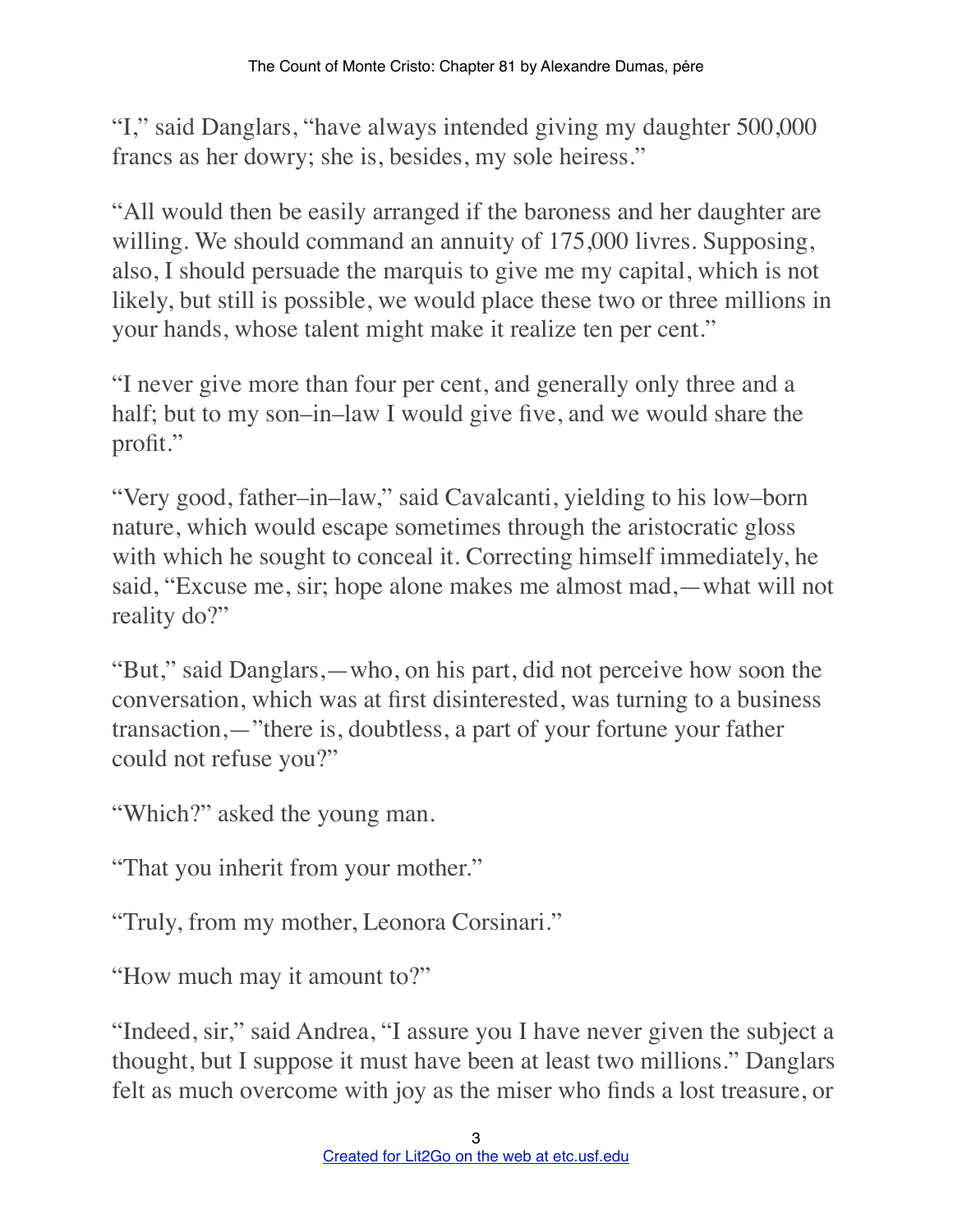"I," said Danglars, "have always intended giving my daughter 500,000 francs as her dowry; she is, besides, my sole heiress."

"All would then be easily arranged if the baroness and her daughter are willing. We should command an annuity of 175,000 livres. Supposing, also, I should persuade the marquis to give me my capital, which is not likely, but still is possible, we would place these two or three millions in your hands, whose talent might make it realize ten per cent."

"I never give more than four per cent, and generally only three and a half; but to my son–in–law I would give five, and we would share the profit."

"Very good, father–in–law," said Cavalcanti, yielding to his low–born nature, which would escape sometimes through the aristocratic gloss with which he sought to conceal it. Correcting himself immediately, he said, "Excuse me, sir; hope alone makes me almost mad,—what will not reality do?"

"But," said Danglars,—who, on his part, did not perceive how soon the conversation, which was at first disinterested, was turning to a business transaction,—"there is, doubtless, a part of your fortune your father could not refuse you?"

"Which?" asked the young man.

"That you inherit from your mother."

"Truly, from my mother, Leonora Corsinari."

"How much may it amount to?"

"Indeed, sir," said Andrea, "I assure you I have never given the subject a thought, but I suppose it must have been at least two millions." Danglars felt as much overcome with joy as the miser who finds a lost treasure, or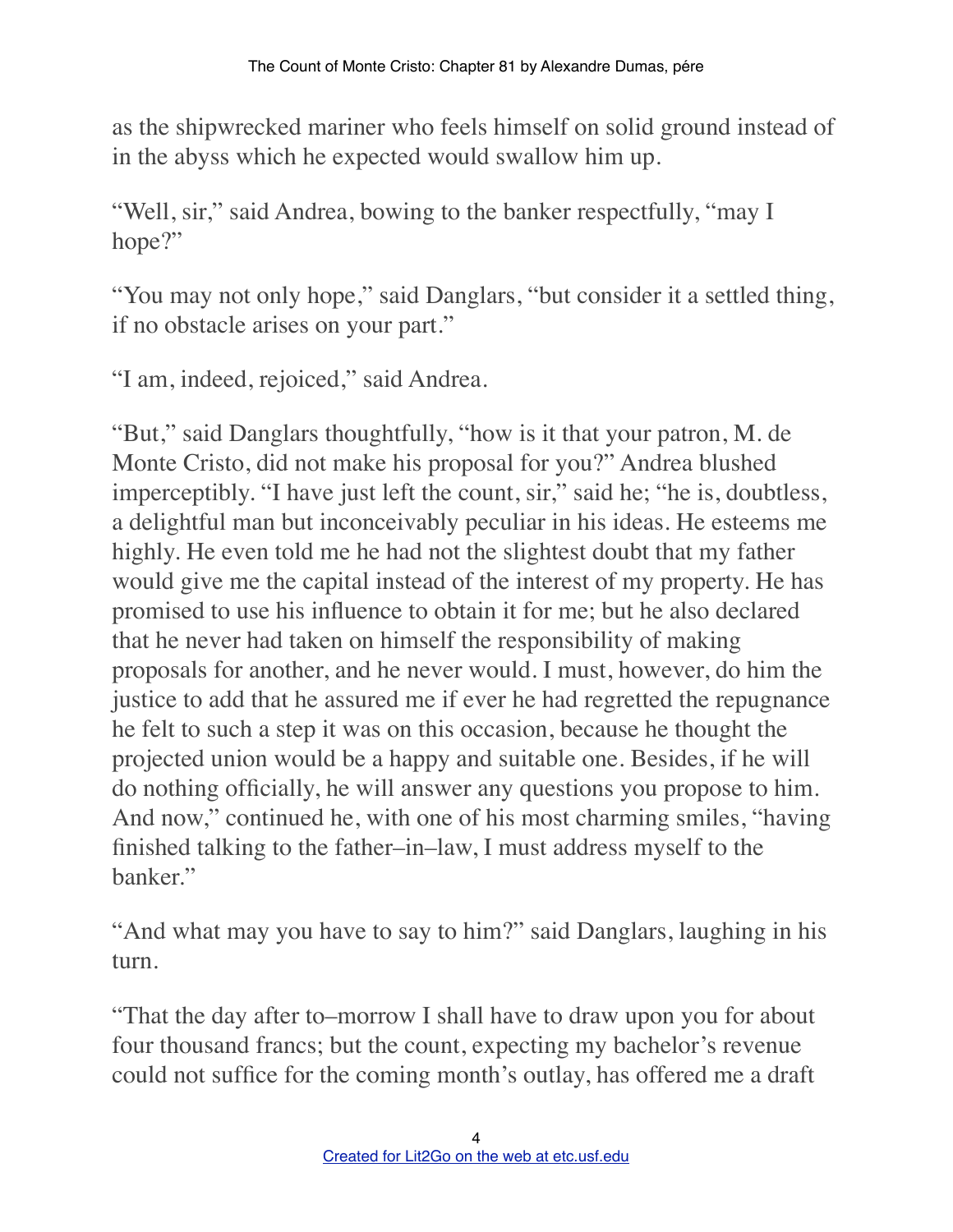as the shipwrecked mariner who feels himself on solid ground instead of in the abyss which he expected would swallow him up.

"Well, sir," said Andrea, bowing to the banker respectfully, "may I hope?"

"You may not only hope," said Danglars, "but consider it a settled thing, if no obstacle arises on your part."

"I am, indeed, rejoiced," said Andrea.

"But," said Danglars thoughtfully, "how is it that your patron, M. de Monte Cristo, did not make his proposal for you?" Andrea blushed imperceptibly. "I have just left the count, sir," said he; "he is, doubtless, a delightful man but inconceivably peculiar in his ideas. He esteems me highly. He even told me he had not the slightest doubt that my father would give me the capital instead of the interest of my property. He has promised to use his influence to obtain it for me; but he also declared that he never had taken on himself the responsibility of making proposals for another, and he never would. I must, however, do him the justice to add that he assured me if ever he had regretted the repugnance he felt to such a step it was on this occasion, because he thought the projected union would be a happy and suitable one. Besides, if he will do nothing officially, he will answer any questions you propose to him. And now," continued he, with one of his most charming smiles, "having finished talking to the father–in–law, I must address myself to the banker."

"And what may you have to say to him?" said Danglars, laughing in his turn.

"That the day after to–morrow I shall have to draw upon you for about four thousand francs; but the count, expecting my bachelor's revenue could not suffice for the coming month's outlay, has offered me a draft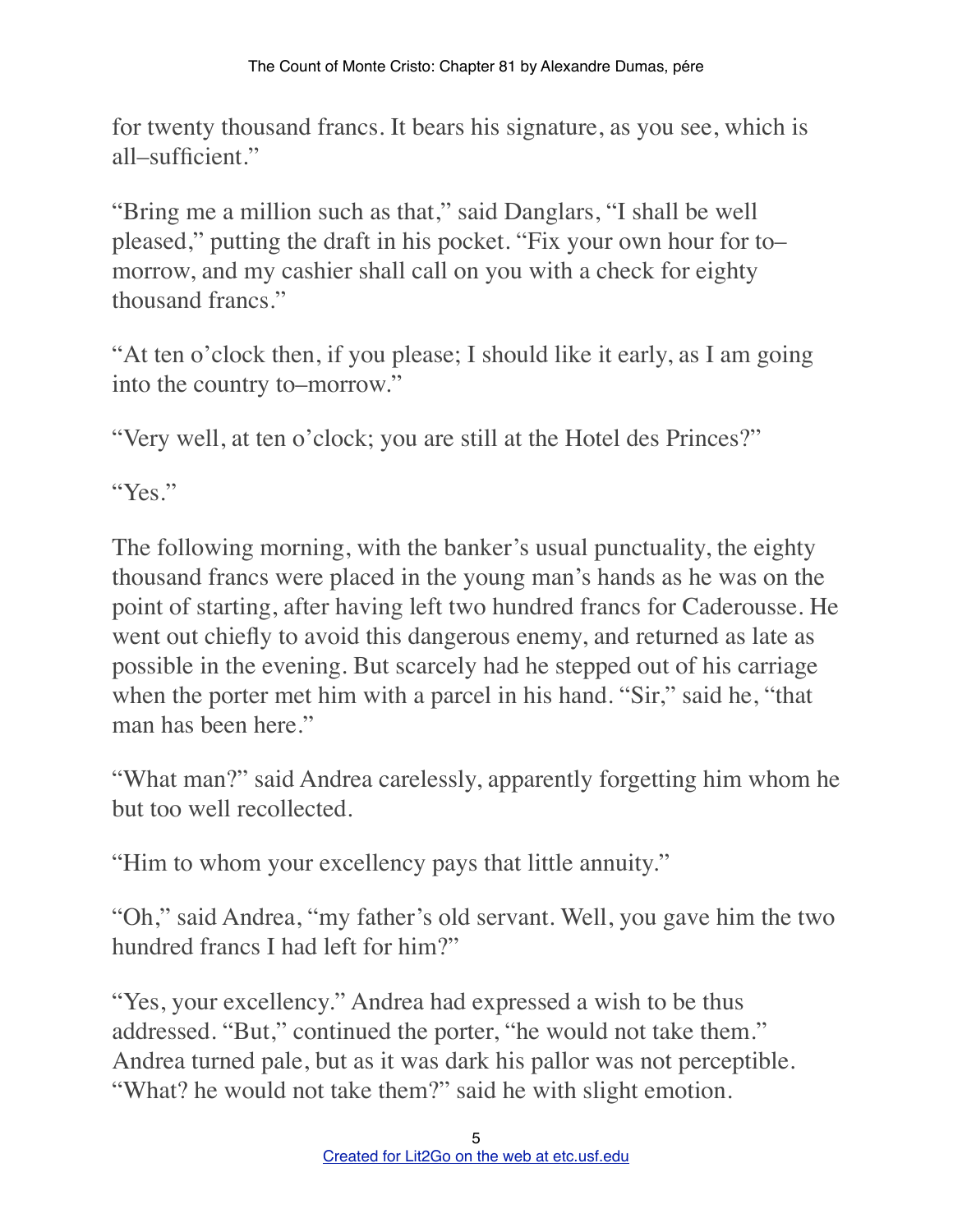for twenty thousand francs. It bears his signature, as you see, which is all–sufficient."

"Bring me a million such as that," said Danglars, "I shall be well pleased," putting the draft in his pocket. "Fix your own hour for to– morrow, and my cashier shall call on you with a check for eighty thousand francs."

"At ten o'clock then, if you please; I should like it early, as I am going into the country to–morrow."

"Very well, at ten o'clock; you are still at the Hotel des Princes?"

"Yes."

The following morning, with the banker's usual punctuality, the eighty thousand francs were placed in the young man's hands as he was on the point of starting, after having left two hundred francs for Caderousse. He went out chiefly to avoid this dangerous enemy, and returned as late as possible in the evening. But scarcely had he stepped out of his carriage when the porter met him with a parcel in his hand. "Sir," said he, "that man has been here."

"What man?" said Andrea carelessly, apparently forgetting him whom he but too well recollected.

"Him to whom your excellency pays that little annuity."

"Oh," said Andrea, "my father's old servant. Well, you gave him the two hundred francs I had left for him?"

"Yes, your excellency." Andrea had expressed a wish to be thus addressed. "But," continued the porter, "he would not take them." Andrea turned pale, but as it was dark his pallor was not perceptible. "What? he would not take them?" said he with slight emotion.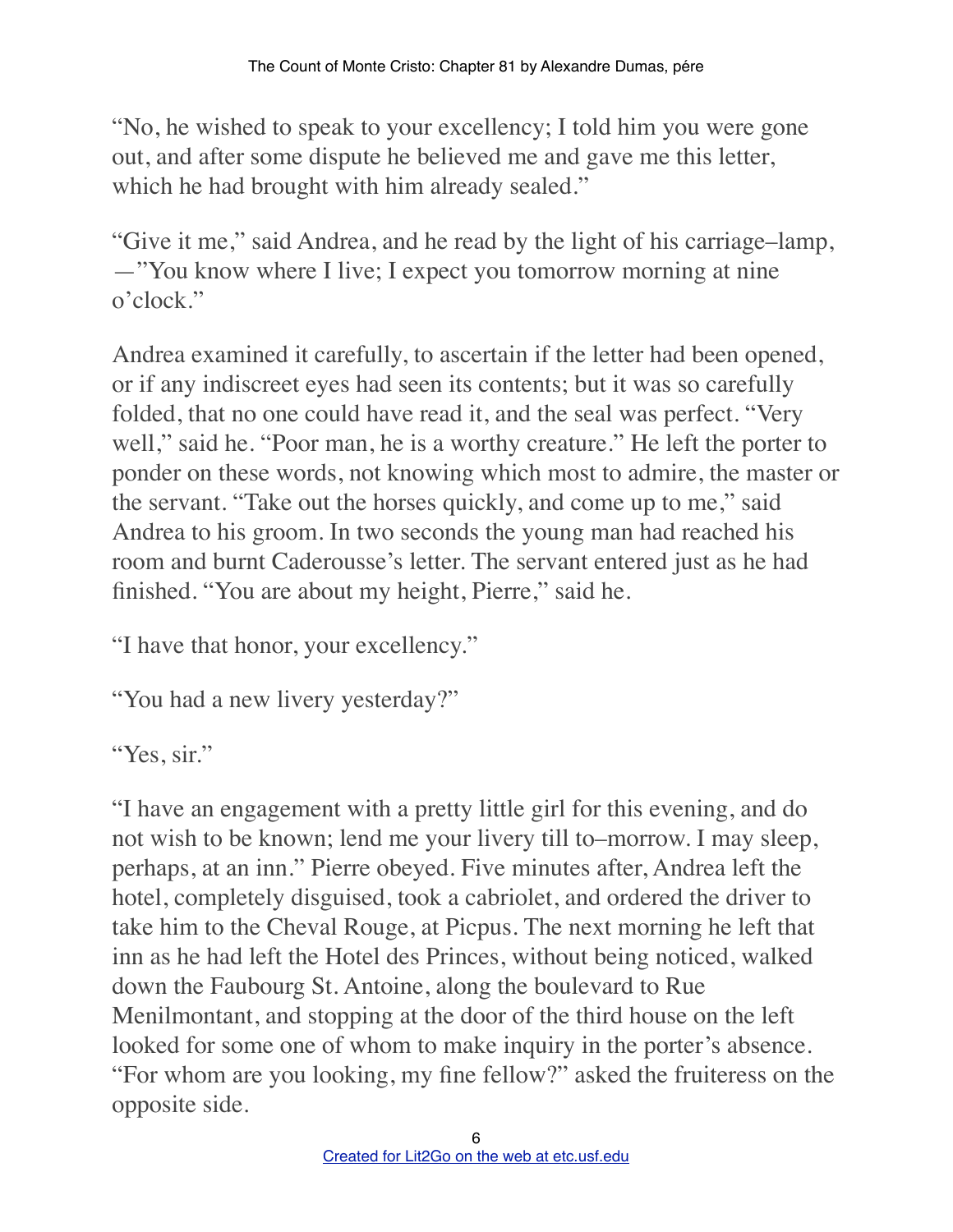"No, he wished to speak to your excellency; I told him you were gone out, and after some dispute he believed me and gave me this letter, which he had brought with him already sealed."

"Give it me," said Andrea, and he read by the light of his carriage–lamp, —"You know where I live; I expect you tomorrow morning at nine o'clock."

Andrea examined it carefully, to ascertain if the letter had been opened, or if any indiscreet eyes had seen its contents; but it was so carefully folded, that no one could have read it, and the seal was perfect. "Very well," said he. "Poor man, he is a worthy creature." He left the porter to ponder on these words, not knowing which most to admire, the master or the servant. "Take out the horses quickly, and come up to me," said Andrea to his groom. In two seconds the young man had reached his room and burnt Caderousse's letter. The servant entered just as he had finished. "You are about my height, Pierre," said he.

"I have that honor, your excellency."

```
"You had a new livery yesterday?"
```
"Yes, sir."

"I have an engagement with a pretty little girl for this evening, and do not wish to be known; lend me your livery till to–morrow. I may sleep, perhaps, at an inn." Pierre obeyed. Five minutes after, Andrea left the hotel, completely disguised, took a cabriolet, and ordered the driver to take him to the Cheval Rouge, at Picpus. The next morning he left that inn as he had left the Hotel des Princes, without being noticed, walked down the Faubourg St. Antoine, along the boulevard to Rue Menilmontant, and stopping at the door of the third house on the left looked for some one of whom to make inquiry in the porter's absence. "For whom are you looking, my fine fellow?" asked the fruiteress on the opposite side.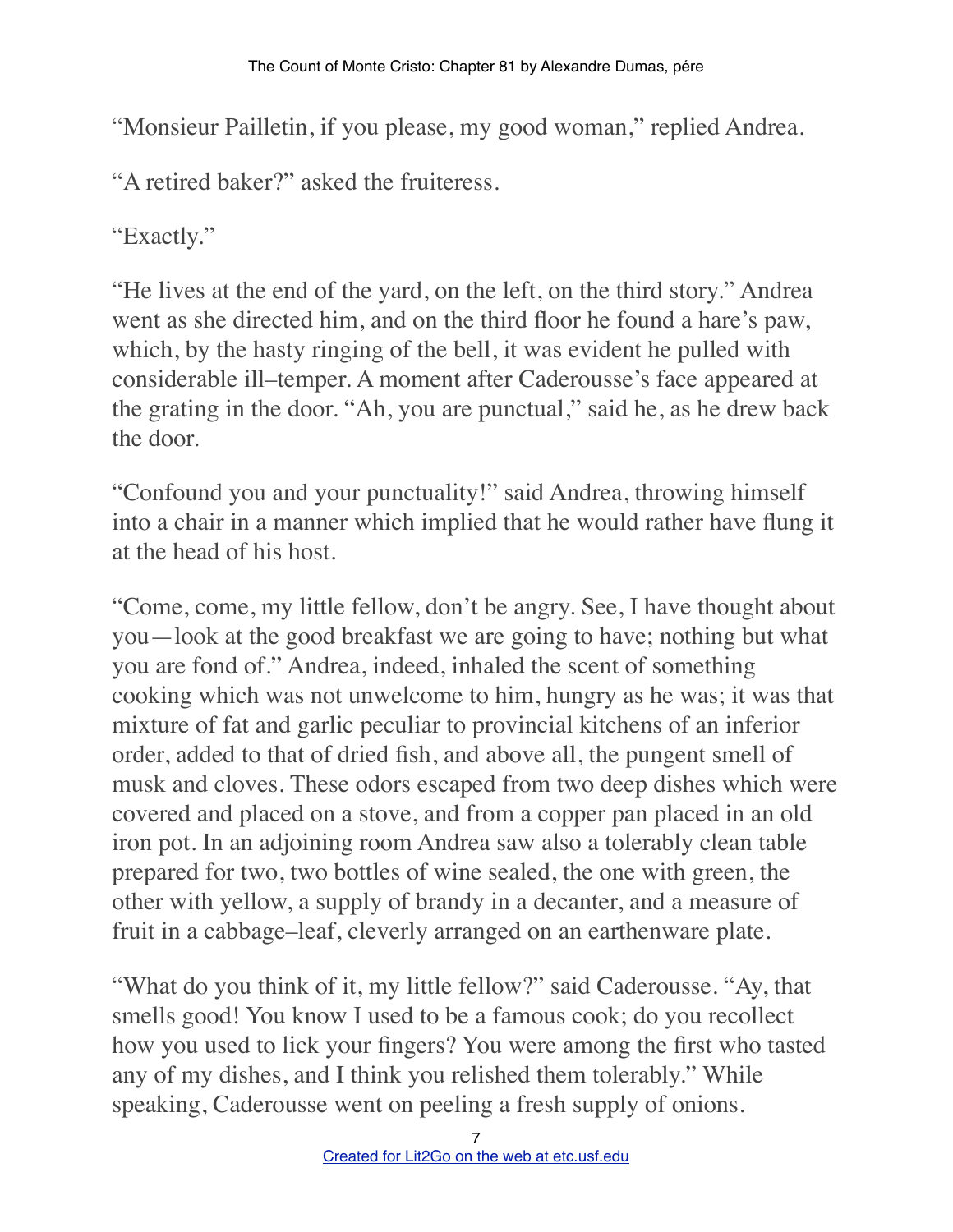"Monsieur Pailletin, if you please, my good woman," replied Andrea.

"A retired baker?" asked the fruiteress.

"Exactly."

"He lives at the end of the yard, on the left, on the third story." Andrea went as she directed him, and on the third floor he found a hare's paw, which, by the hasty ringing of the bell, it was evident he pulled with considerable ill–temper. A moment after Caderousse's face appeared at the grating in the door. "Ah, you are punctual," said he, as he drew back the door.

"Confound you and your punctuality!" said Andrea, throwing himself into a chair in a manner which implied that he would rather have flung it at the head of his host.

"Come, come, my little fellow, don't be angry. See, I have thought about you—look at the good breakfast we are going to have; nothing but what you are fond of." Andrea, indeed, inhaled the scent of something cooking which was not unwelcome to him, hungry as he was; it was that mixture of fat and garlic peculiar to provincial kitchens of an inferior order, added to that of dried fish, and above all, the pungent smell of musk and cloves. These odors escaped from two deep dishes which were covered and placed on a stove, and from a copper pan placed in an old iron pot. In an adjoining room Andrea saw also a tolerably clean table prepared for two, two bottles of wine sealed, the one with green, the other with yellow, a supply of brandy in a decanter, and a measure of fruit in a cabbage–leaf, cleverly arranged on an earthenware plate.

"What do you think of it, my little fellow?" said Caderousse. "Ay, that smells good! You know I used to be a famous cook; do you recollect how you used to lick your fingers? You were among the first who tasted any of my dishes, and I think you relished them tolerably." While speaking, Caderousse went on peeling a fresh supply of onions.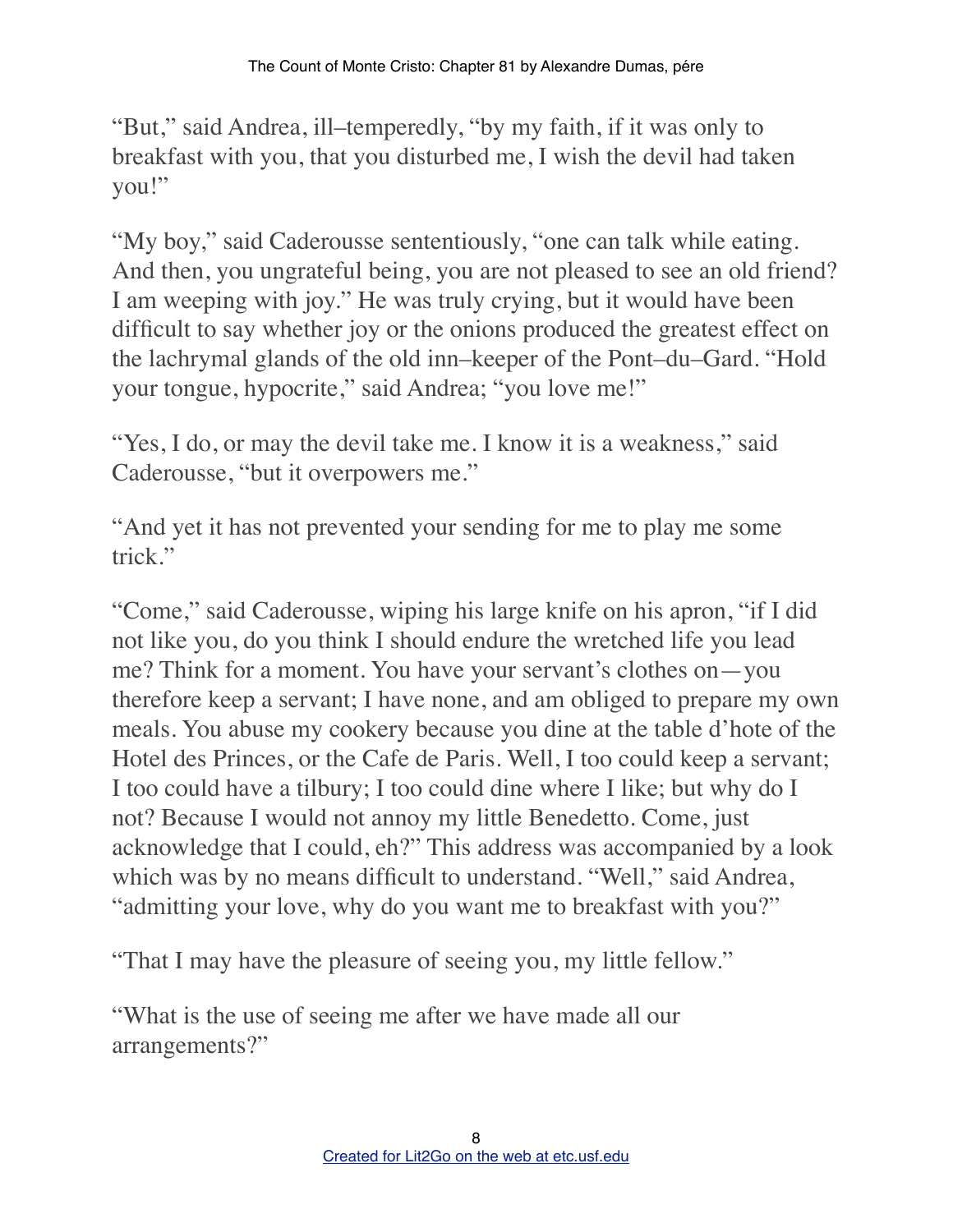"But," said Andrea, ill–temperedly, "by my faith, if it was only to breakfast with you, that you disturbed me, I wish the devil had taken you!"

"My boy," said Caderousse sententiously, "one can talk while eating. And then, you ungrateful being, you are not pleased to see an old friend? I am weeping with joy." He was truly crying, but it would have been difficult to say whether joy or the onions produced the greatest effect on the lachrymal glands of the old inn–keeper of the Pont–du–Gard. "Hold your tongue, hypocrite," said Andrea; "you love me!"

"Yes, I do, or may the devil take me. I know it is a weakness," said Caderousse, "but it overpowers me."

"And yet it has not prevented your sending for me to play me some trick."

"Come," said Caderousse, wiping his large knife on his apron, "if I did not like you, do you think I should endure the wretched life you lead me? Think for a moment. You have your servant's clothes on—you therefore keep a servant; I have none, and am obliged to prepare my own meals. You abuse my cookery because you dine at the table d'hote of the Hotel des Princes, or the Cafe de Paris. Well, I too could keep a servant; I too could have a tilbury; I too could dine where I like; but why do I not? Because I would not annoy my little Benedetto. Come, just acknowledge that I could, eh?" This address was accompanied by a look which was by no means difficult to understand. "Well," said Andrea, "admitting your love, why do you want me to breakfast with you?"

"That I may have the pleasure of seeing you, my little fellow."

"What is the use of seeing me after we have made all our arrangements?"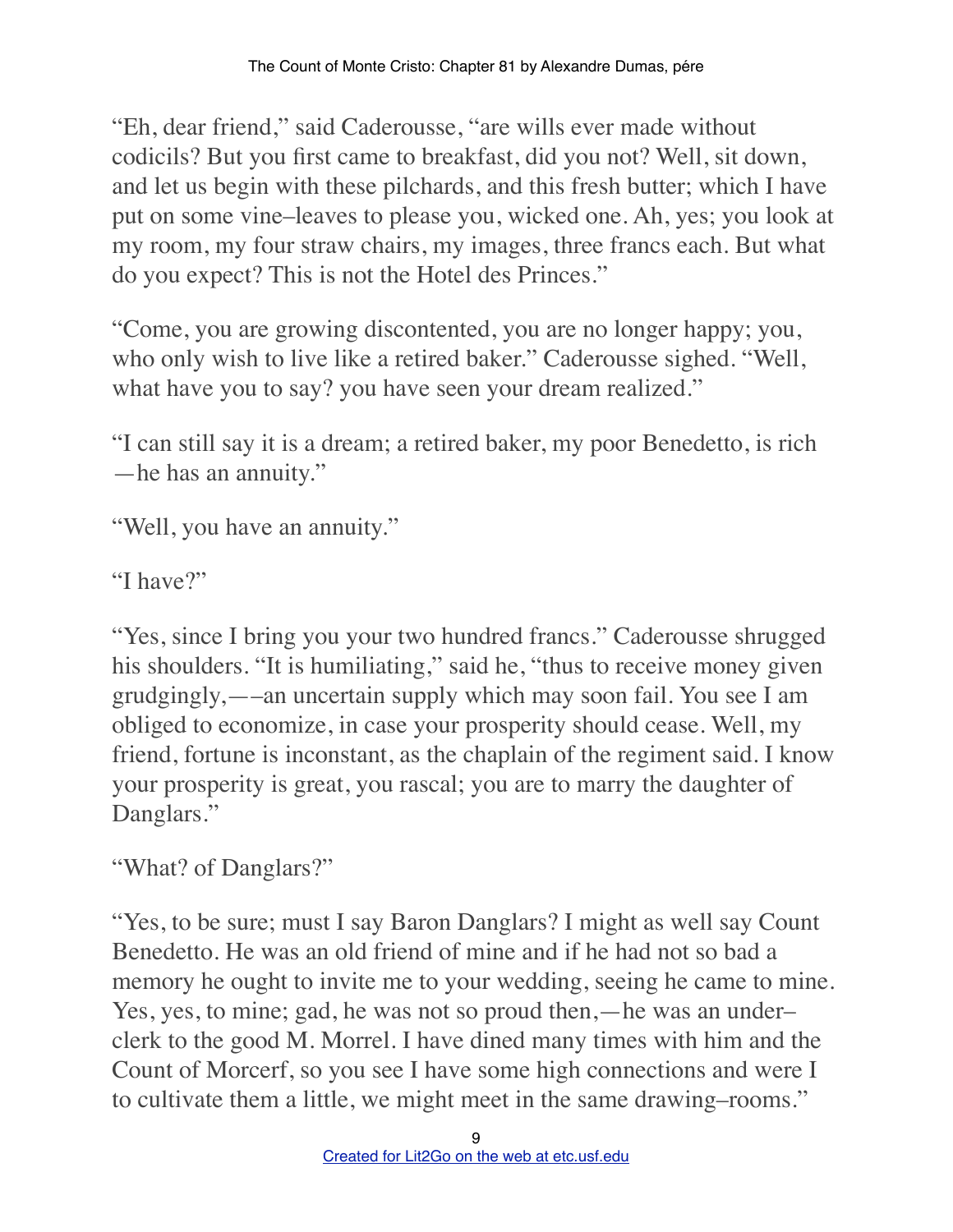"Eh, dear friend," said Caderousse, "are wills ever made without codicils? But you first came to breakfast, did you not? Well, sit down, and let us begin with these pilchards, and this fresh butter; which I have put on some vine–leaves to please you, wicked one. Ah, yes; you look at my room, my four straw chairs, my images, three francs each. But what do you expect? This is not the Hotel des Princes."

"Come, you are growing discontented, you are no longer happy; you, who only wish to live like a retired baker." Caderousse sighed. "Well, what have you to say? you have seen your dream realized."

"I can still say it is a dream; a retired baker, my poor Benedetto, is rich —he has an annuity."

"Well, you have an annuity."

"I have?"

"Yes, since I bring you your two hundred francs." Caderousse shrugged his shoulders. "It is humiliating," said he, "thus to receive money given grudgingly,—–an uncertain supply which may soon fail. You see I am obliged to economize, in case your prosperity should cease. Well, my friend, fortune is inconstant, as the chaplain of the regiment said. I know your prosperity is great, you rascal; you are to marry the daughter of Danglars."

"What? of Danglars?"

"Yes, to be sure; must I say Baron Danglars? I might as well say Count Benedetto. He was an old friend of mine and if he had not so bad a memory he ought to invite me to your wedding, seeing he came to mine. Yes, yes, to mine; gad, he was not so proud then,—he was an underclerk to the good M. Morrel. I have dined many times with him and the Count of Morcerf, so you see I have some high connections and were I to cultivate them a little, we might meet in the same drawing–rooms."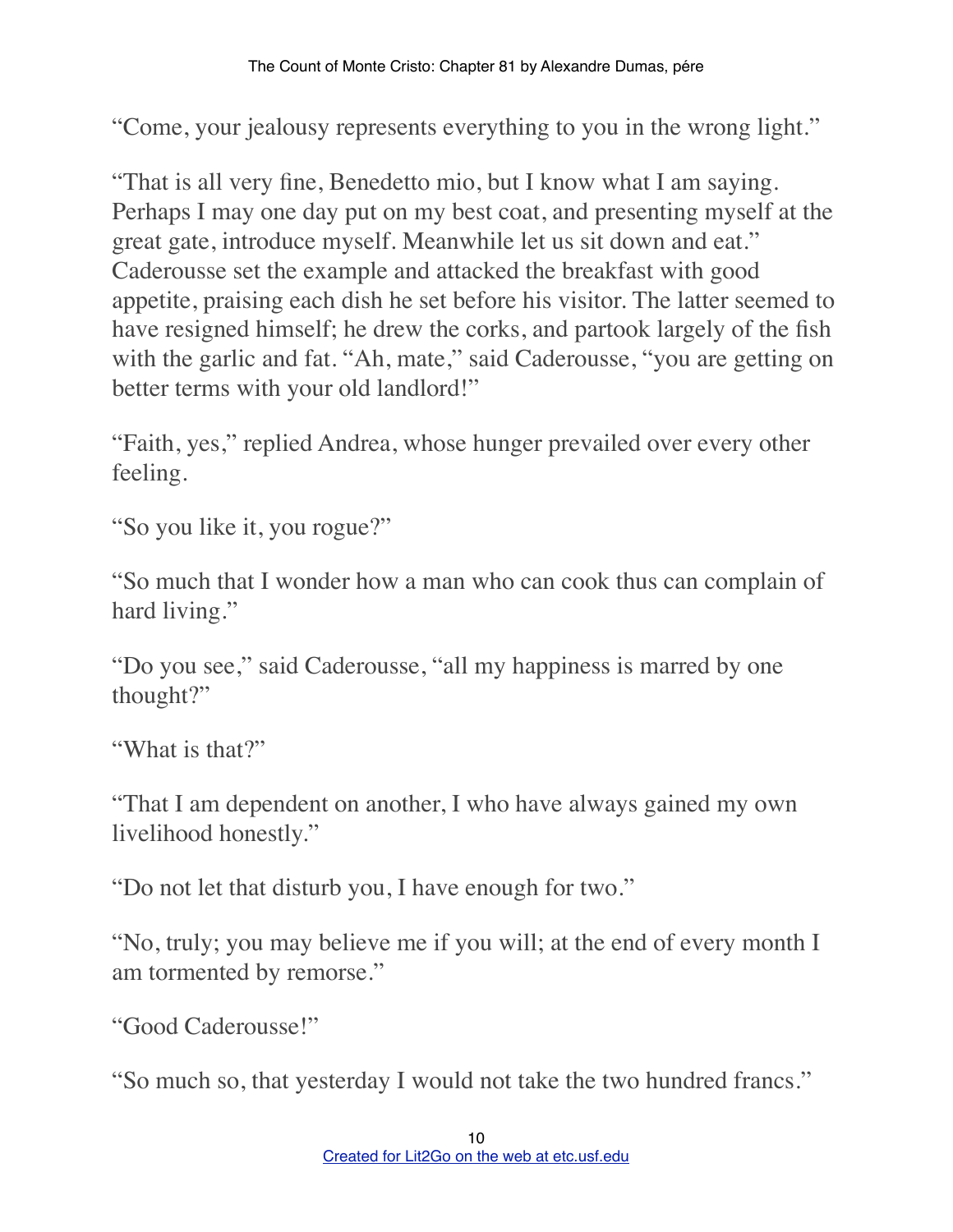"Come, your jealousy represents everything to you in the wrong light."

"That is all very fine, Benedetto mio, but I know what I am saying. Perhaps I may one day put on my best coat, and presenting myself at the great gate, introduce myself. Meanwhile let us sit down and eat." Caderousse set the example and attacked the breakfast with good appetite, praising each dish he set before his visitor. The latter seemed to have resigned himself; he drew the corks, and partook largely of the fish with the garlic and fat. "Ah, mate," said Caderousse, "you are getting on better terms with your old landlord!"

"Faith, yes," replied Andrea, whose hunger prevailed over every other feeling.

"So you like it, you rogue?"

"So much that I wonder how a man who can cook thus can complain of hard living."

"Do you see," said Caderousse, "all my happiness is marred by one thought?"

"What is that?"

"That I am dependent on another, I who have always gained my own livelihood honestly."

"Do not let that disturb you, I have enough for two."

"No, truly; you may believe me if you will; at the end of every month I am tormented by remorse."

"Good Caderousse!"

"So much so, that yesterday I would not take the two hundred francs."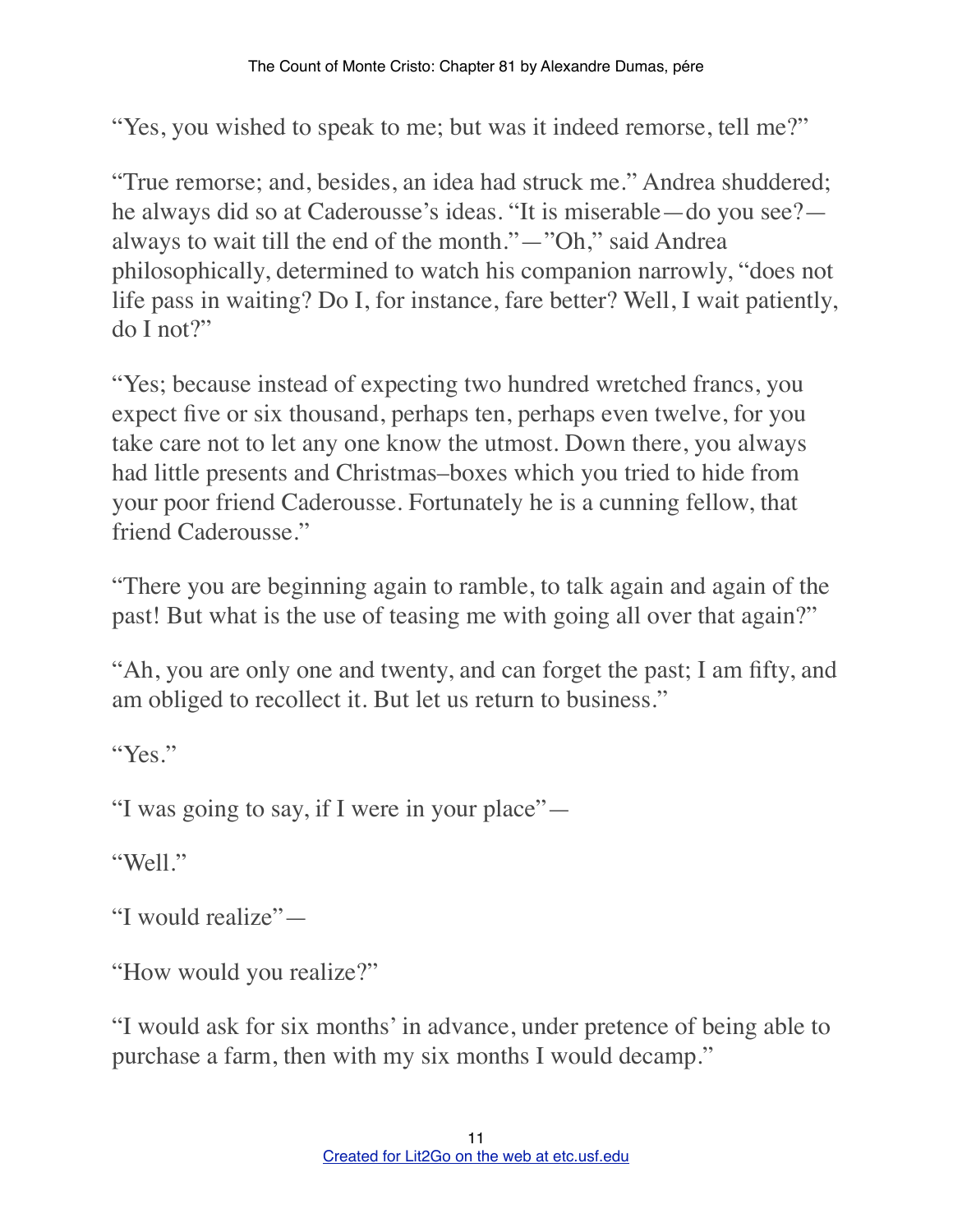"Yes, you wished to speak to me; but was it indeed remorse, tell me?"

"True remorse; and, besides, an idea had struck me." Andrea shuddered; he always did so at Caderousse's ideas. "It is miserable—do you see? always to wait till the end of the month."—"Oh," said Andrea philosophically, determined to watch his companion narrowly, "does not life pass in waiting? Do I, for instance, fare better? Well, I wait patiently,  $d$ o I not?"

"Yes; because instead of expecting two hundred wretched francs, you expect five or six thousand, perhaps ten, perhaps even twelve, for you take care not to let any one know the utmost. Down there, you always had little presents and Christmas–boxes which you tried to hide from your poor friend Caderousse. Fortunately he is a cunning fellow, that friend Caderousse."

"There you are beginning again to ramble, to talk again and again of the past! But what is the use of teasing me with going all over that again?"

"Ah, you are only one and twenty, and can forget the past; I am fifty, and am obliged to recollect it. But let us return to business."

"Yes."

"I was going to say, if I were in your place"—

"Well."

"I would realize"—

"How would you realize?"

"I would ask for six months' in advance, under pretence of being able to purchase a farm, then with my six months I would decamp."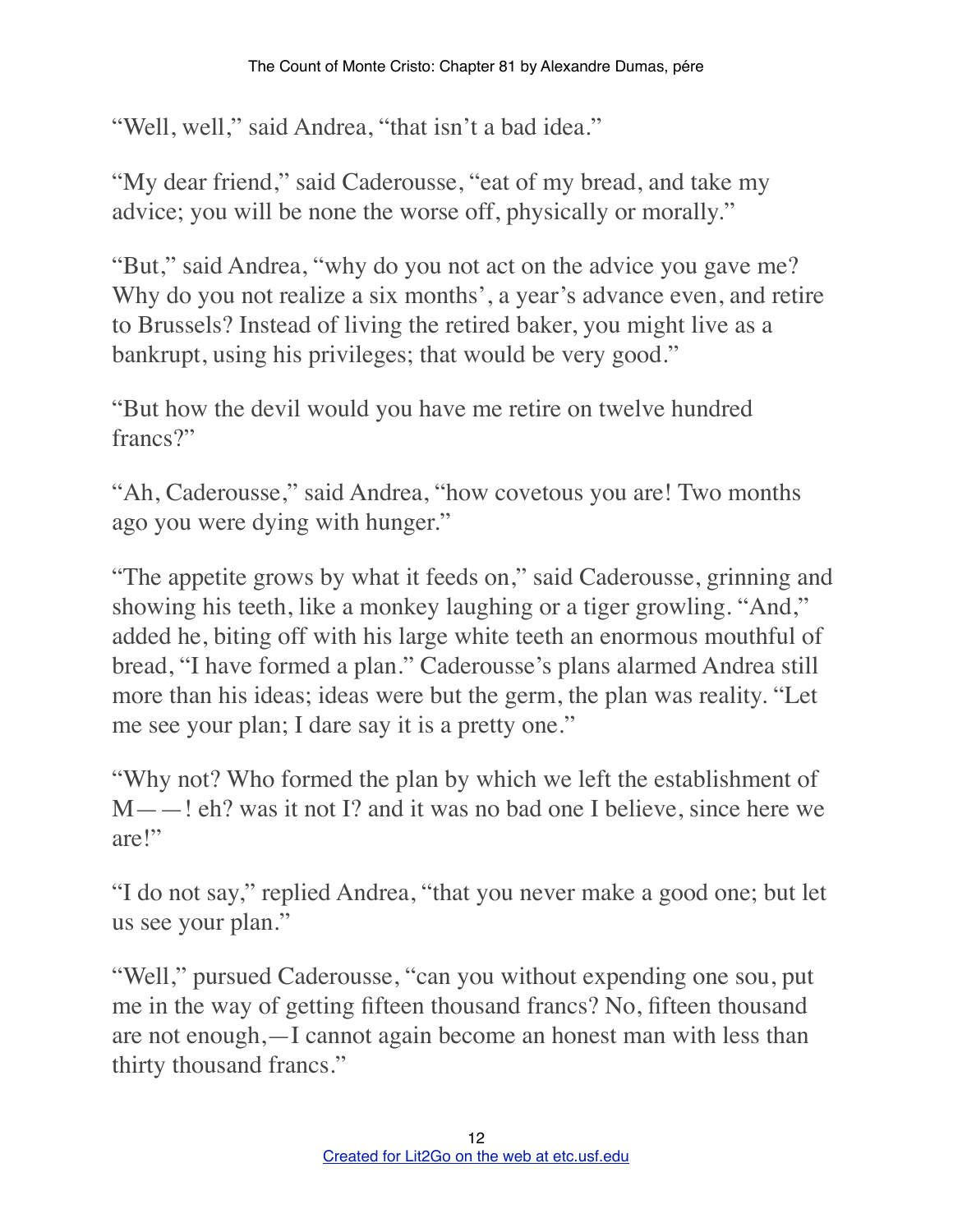"Well, well," said Andrea, "that isn't a bad idea."

"My dear friend," said Caderousse, "eat of my bread, and take my advice; you will be none the worse off, physically or morally."

"But," said Andrea, "why do you not act on the advice you gave me? Why do you not realize a six months', a year's advance even, and retire to Brussels? Instead of living the retired baker, you might live as a bankrupt, using his privileges; that would be very good."

"But how the devil would you have me retire on twelve hundred francs?"

"Ah, Caderousse," said Andrea, "how covetous you are! Two months ago you were dying with hunger."

"The appetite grows by what it feeds on," said Caderousse, grinning and showing his teeth, like a monkey laughing or a tiger growling. "And," added he, biting off with his large white teeth an enormous mouthful of bread, "I have formed a plan." Caderousse's plans alarmed Andrea still more than his ideas; ideas were but the germ, the plan was reality. "Let me see your plan; I dare say it is a pretty one."

"Why not? Who formed the plan by which we left the establishment of M——! eh? was it not I? and it was no bad one I believe, since here we are!"

"I do not say," replied Andrea, "that you never make a good one; but let us see your plan."

"Well," pursued Caderousse, "can you without expending one sou, put me in the way of getting fifteen thousand francs? No, fifteen thousand are not enough,—I cannot again become an honest man with less than thirty thousand francs."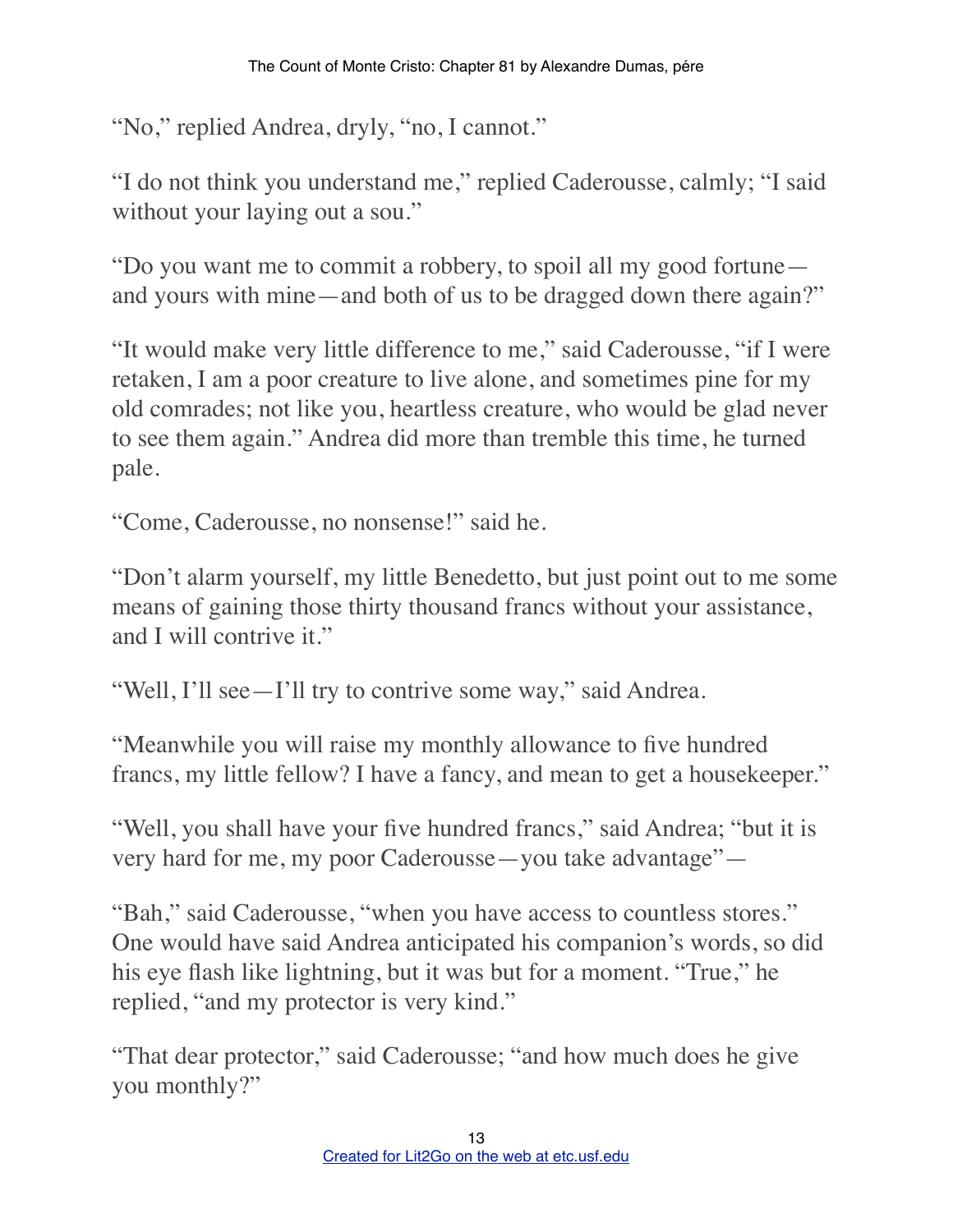"No," replied Andrea, dryly, "no, I cannot."

"I do not think you understand me," replied Caderousse, calmly; "I said without your laying out a sou."

"Do you want me to commit a robbery, to spoil all my good fortune and yours with mine—and both of us to be dragged down there again?"

"It would make very little difference to me," said Caderousse, "if I were retaken, I am a poor creature to live alone, and sometimes pine for my old comrades; not like you, heartless creature, who would be glad never to see them again." Andrea did more than tremble this time, he turned pale.

"Come, Caderousse, no nonsense!" said he.

"Don't alarm yourself, my little Benedetto, but just point out to me some means of gaining those thirty thousand francs without your assistance, and I will contrive it."

"Well, I'll see—I'll try to contrive some way," said Andrea.

"Meanwhile you will raise my monthly allowance to five hundred francs, my little fellow? I have a fancy, and mean to get a housekeeper."

"Well, you shall have your five hundred francs," said Andrea; "but it is very hard for me, my poor Caderousse—you take advantage"—

"Bah," said Caderousse, "when you have access to countless stores." One would have said Andrea anticipated his companion's words, so did his eye flash like lightning, but it was but for a moment. "True," he replied, "and my protector is very kind."

"That dear protector," said Caderousse; "and how much does he give you monthly?"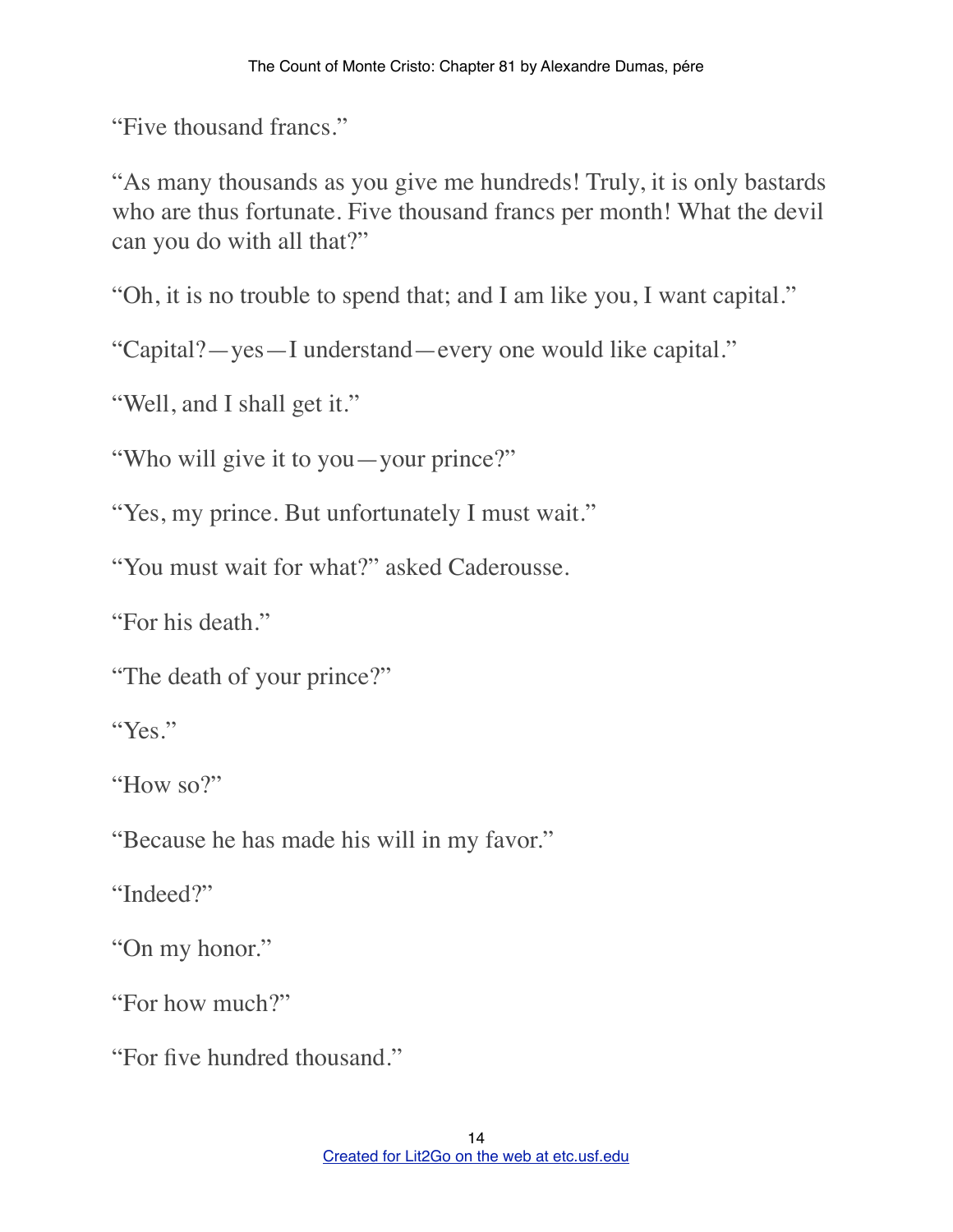"Five thousand francs."

"As many thousands as you give me hundreds! Truly, it is only bastards who are thus fortunate. Five thousand francs per month! What the devil can you do with all that?"

"Oh, it is no trouble to spend that; and I am like you, I want capital."

"Capital?—yes—I understand—every one would like capital."

"Well, and I shall get it."

"Who will give it to you—your prince?"

"Yes, my prince. But unfortunately I must wait."

"You must wait for what?" asked Caderousse.

"For his death."

"The death of your prince?"

"Yes"

"How so?"

"Because he has made his will in my favor."

"Indeed?"

"On my honor."

"For how much?"

"For five hundred thousand."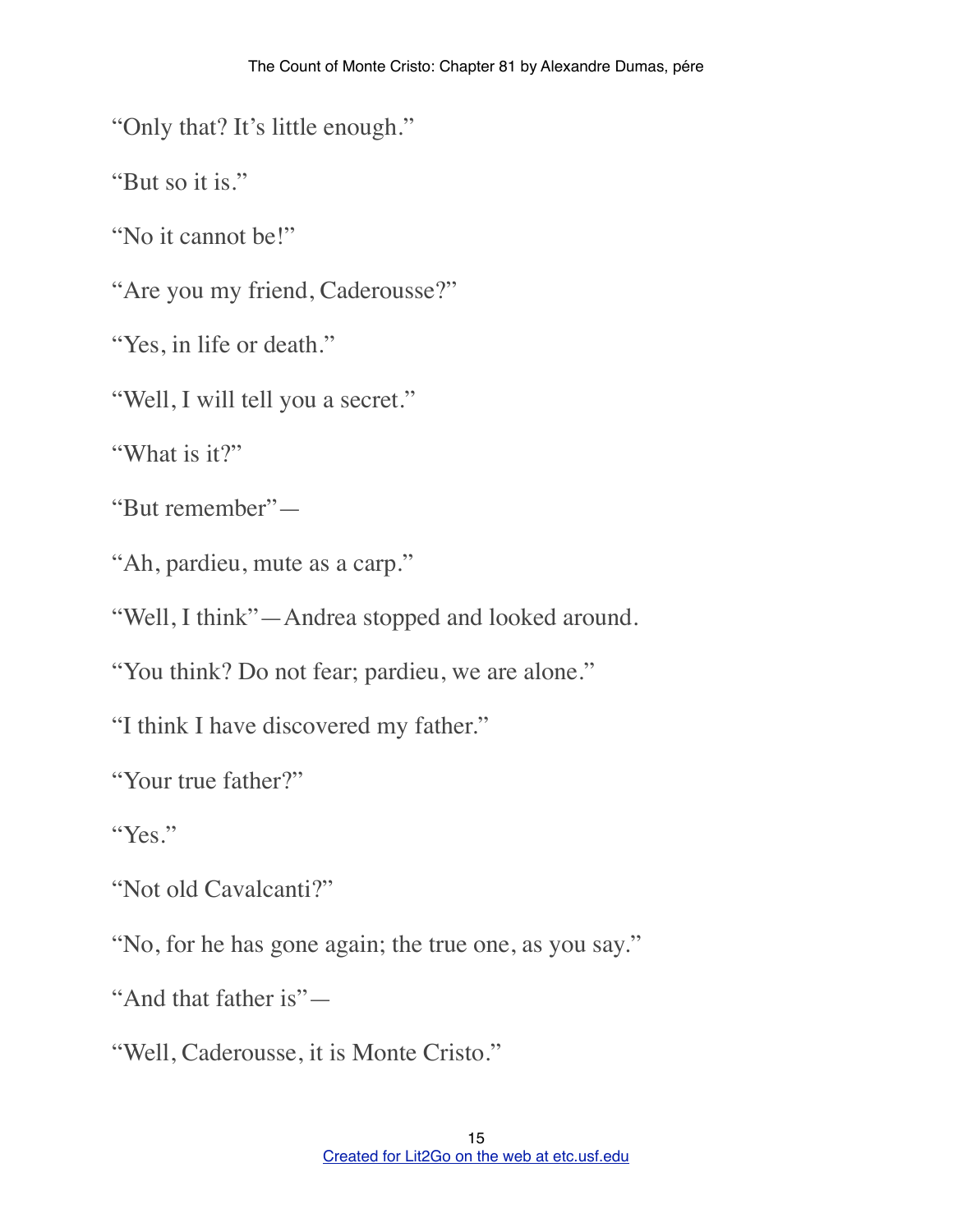"Only that? It's little enough."

"But so it is."

"No it cannot be!"

"Are you my friend, Caderousse?"

"Yes, in life or death."

"Well, I will tell you a secret."

"What is it?"

"But remember"—

"Ah, pardieu, mute as a carp."

"Well, I think"—Andrea stopped and looked around.

"You think? Do not fear; pardieu, we are alone."

"I think I have discovered my father."

"Your true father?"

"Yes."

"Not old Cavalcanti?"

"No, for he has gone again; the true one, as you say."

"And that father is"—

"Well, Caderousse, it is Monte Cristo."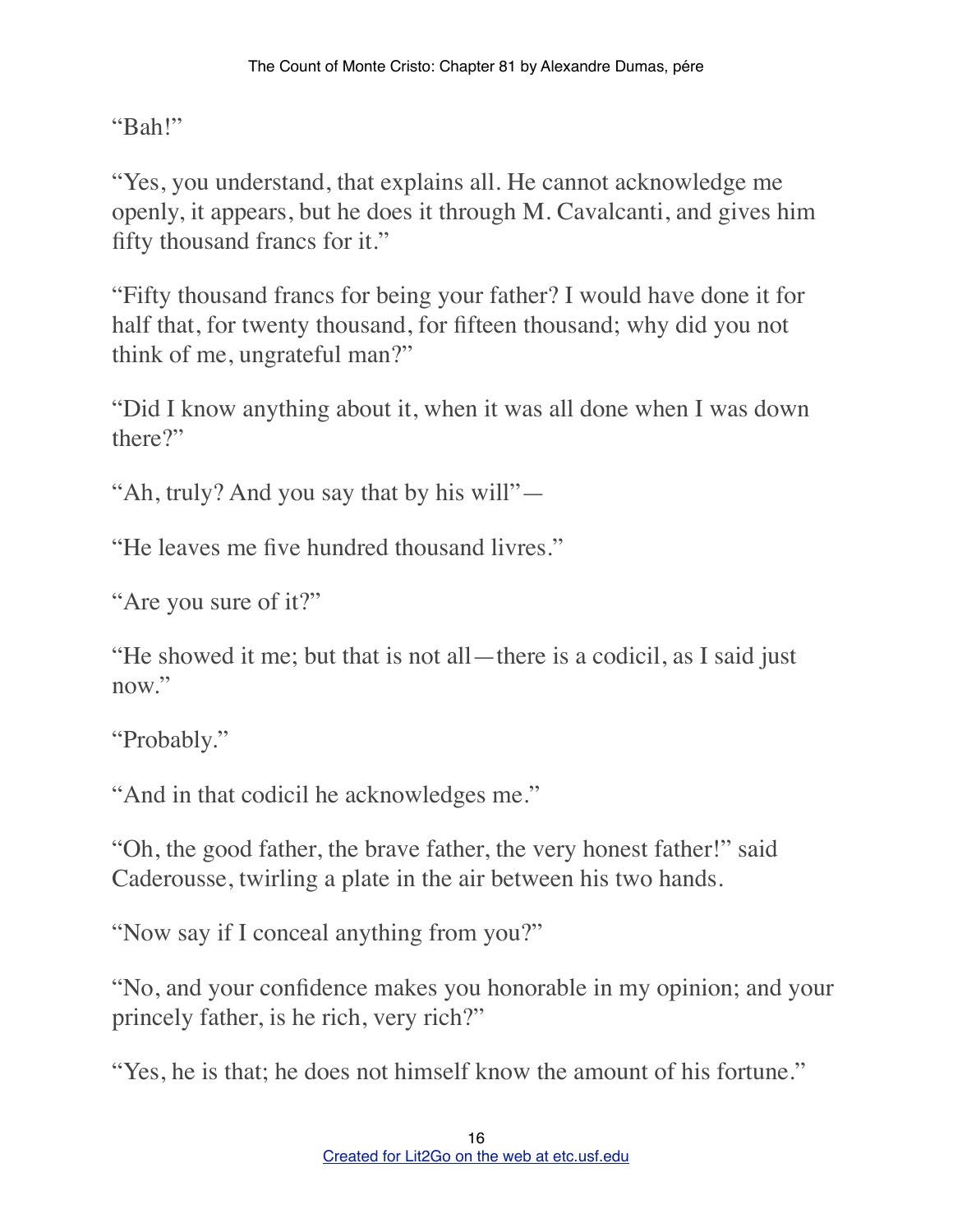"Bah!"

"Yes, you understand, that explains all. He cannot acknowledge me openly, it appears, but he does it through M. Cavalcanti, and gives him fifty thousand francs for it."

"Fifty thousand francs for being your father? I would have done it for half that, for twenty thousand, for fifteen thousand; why did you not think of me, ungrateful man?"

"Did I know anything about it, when it was all done when I was down there?"

"Ah, truly? And you say that by his will"—

"He leaves me five hundred thousand livres."

"Are you sure of it?"

"He showed it me; but that is not all—there is a codicil, as I said just now."

"Probably."

"And in that codicil he acknowledges me."

"Oh, the good father, the brave father, the very honest father!" said Caderousse, twirling a plate in the air between his two hands.

"Now say if I conceal anything from you?"

"No, and your confidence makes you honorable in my opinion; and your princely father, is he rich, very rich?"

"Yes, he is that; he does not himself know the amount of his fortune."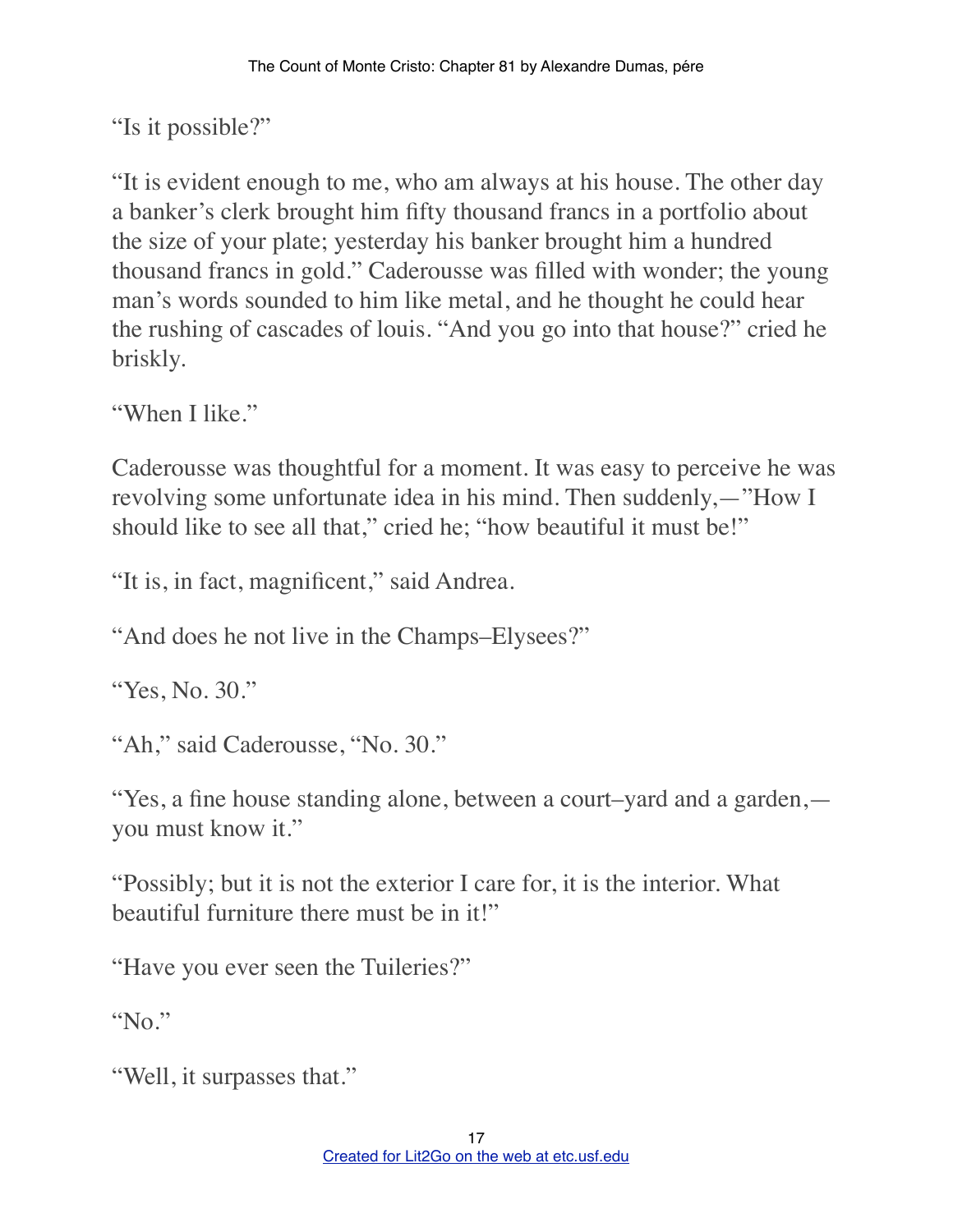"Is it possible?"

"It is evident enough to me, who am always at his house. The other day a banker's clerk brought him fifty thousand francs in a portfolio about the size of your plate; yesterday his banker brought him a hundred thousand francs in gold." Caderousse was filled with wonder; the young man's words sounded to him like metal, and he thought he could hear the rushing of cascades of louis. "And you go into that house?" cried he briskly.

"When I like."

Caderousse was thoughtful for a moment. It was easy to perceive he was revolving some unfortunate idea in his mind. Then suddenly,—"How I should like to see all that," cried he; "how beautiful it must be!"

"It is, in fact, magnificent," said Andrea.

"And does he not live in the Champs–Elysees?"

"Yes, No. 30."

"Ah," said Caderousse, "No. 30."

"Yes, a fine house standing alone, between a court–yard and a garden, you must know it."

"Possibly; but it is not the exterior I care for, it is the interior. What beautiful furniture there must be in it!"

"Have you ever seen the Tuileries?"

"No."

"Well, it surpasses that."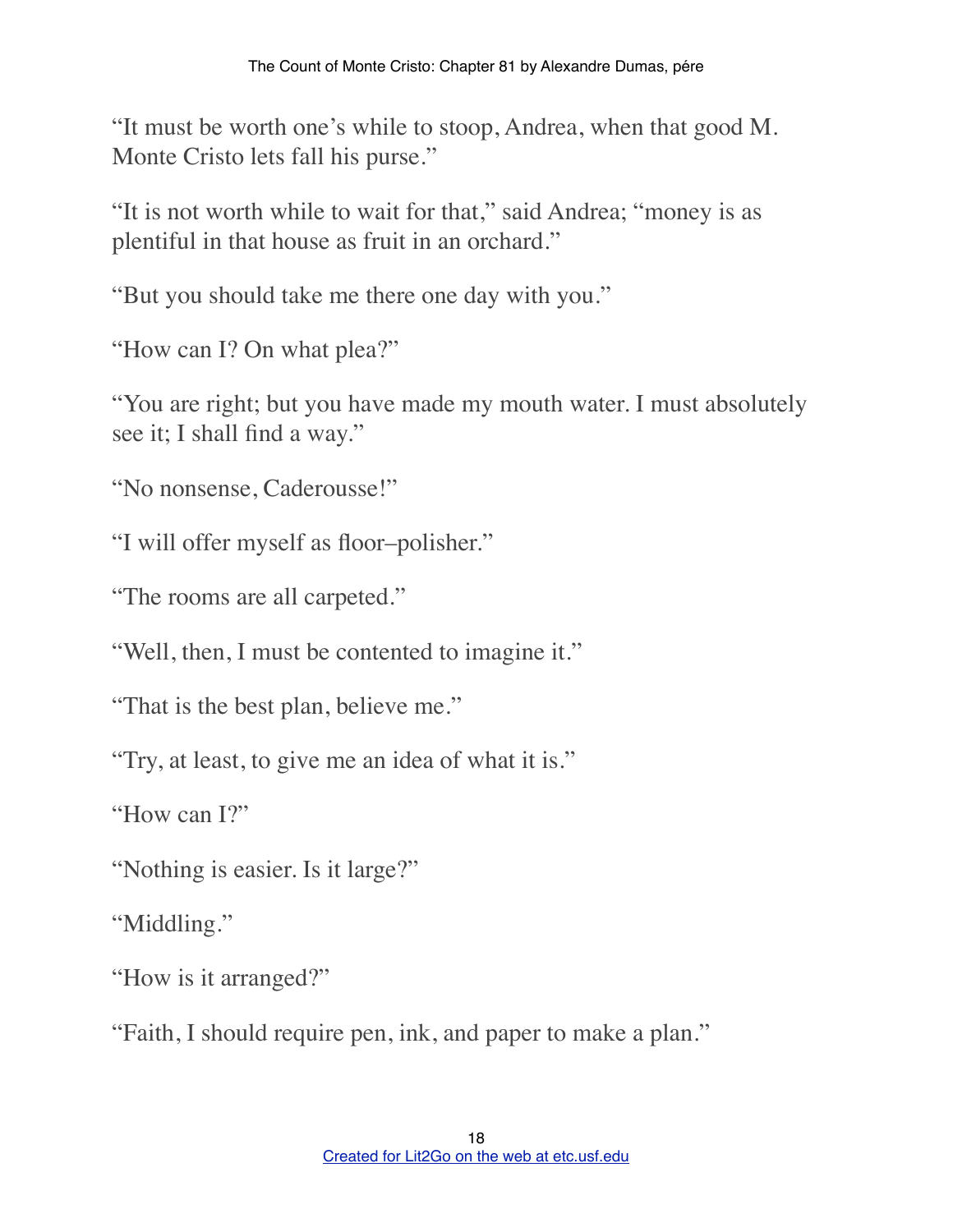"It must be worth one's while to stoop, Andrea, when that good M. Monte Cristo lets fall his purse."

"It is not worth while to wait for that," said Andrea; "money is as plentiful in that house as fruit in an orchard."

"But you should take me there one day with you."

"How can I? On what plea?"

"You are right; but you have made my mouth water. I must absolutely see it; I shall find a way."

"No nonsense, Caderousse!"

"I will offer myself as floor–polisher."

"The rooms are all carpeted."

"Well, then, I must be contented to imagine it."

"That is the best plan, believe me."

"Try, at least, to give me an idea of what it is."

"How can I?"

"Nothing is easier. Is it large?"

"Middling."

"How is it arranged?"

"Faith, I should require pen, ink, and paper to make a plan."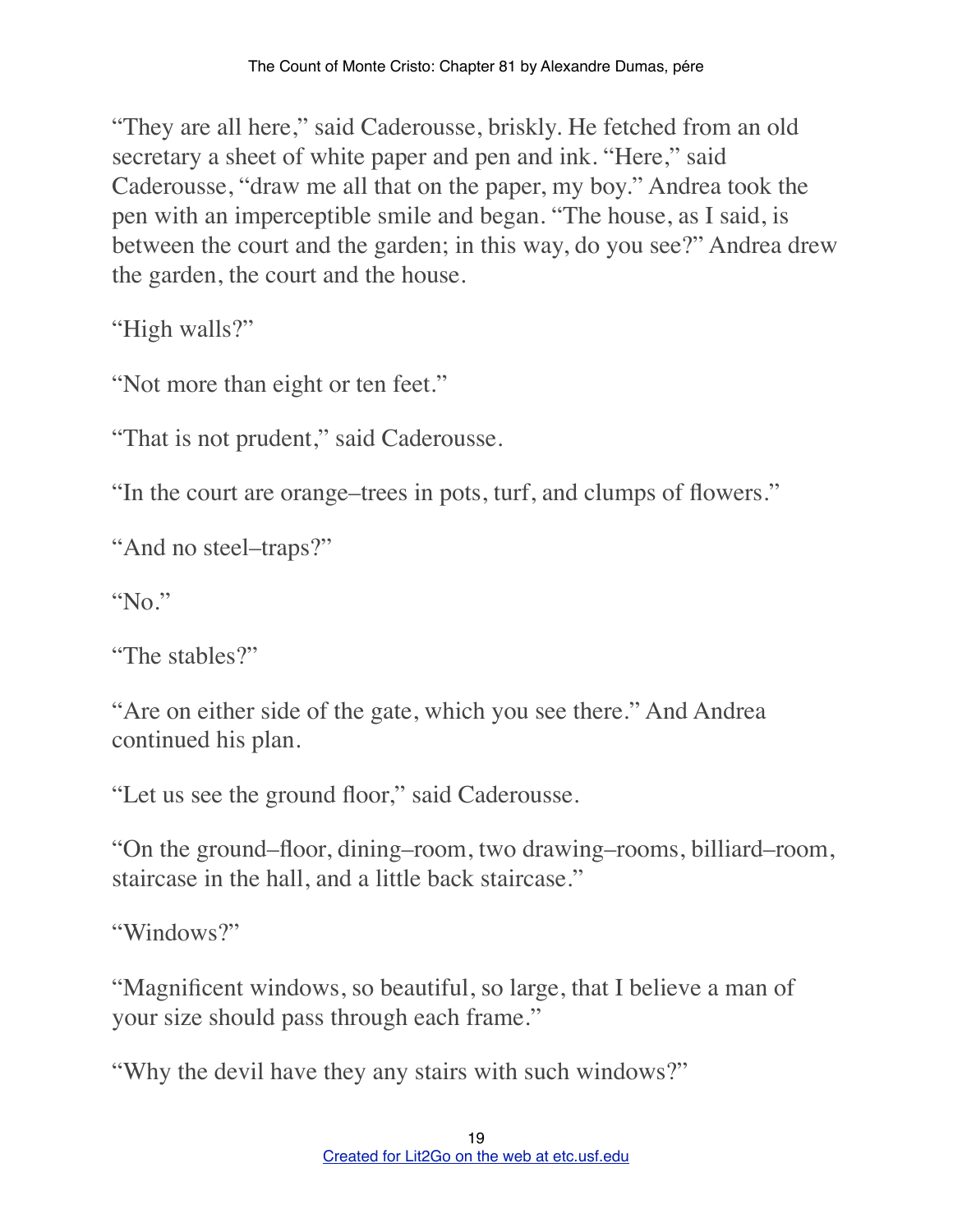"They are all here," said Caderousse, briskly. He fetched from an old secretary a sheet of white paper and pen and ink. "Here," said Caderousse, "draw me all that on the paper, my boy." Andrea took the pen with an imperceptible smile and began. "The house, as I said, is between the court and the garden; in this way, do you see?" Andrea drew the garden, the court and the house.

"High walls?"

"Not more than eight or ten feet."

"That is not prudent," said Caderousse.

"In the court are orange–trees in pots, turf, and clumps of flowers."

"And no steel–traps?"

"No."

"The stables?"

"Are on either side of the gate, which you see there." And Andrea continued his plan.

"Let us see the ground floor," said Caderousse.

"On the ground–floor, dining–room, two drawing–rooms, billiard–room, staircase in the hall, and a little back staircase."

"Windows?"

"Magnificent windows, so beautiful, so large, that I believe a man of your size should pass through each frame."

"Why the devil have they any stairs with such windows?"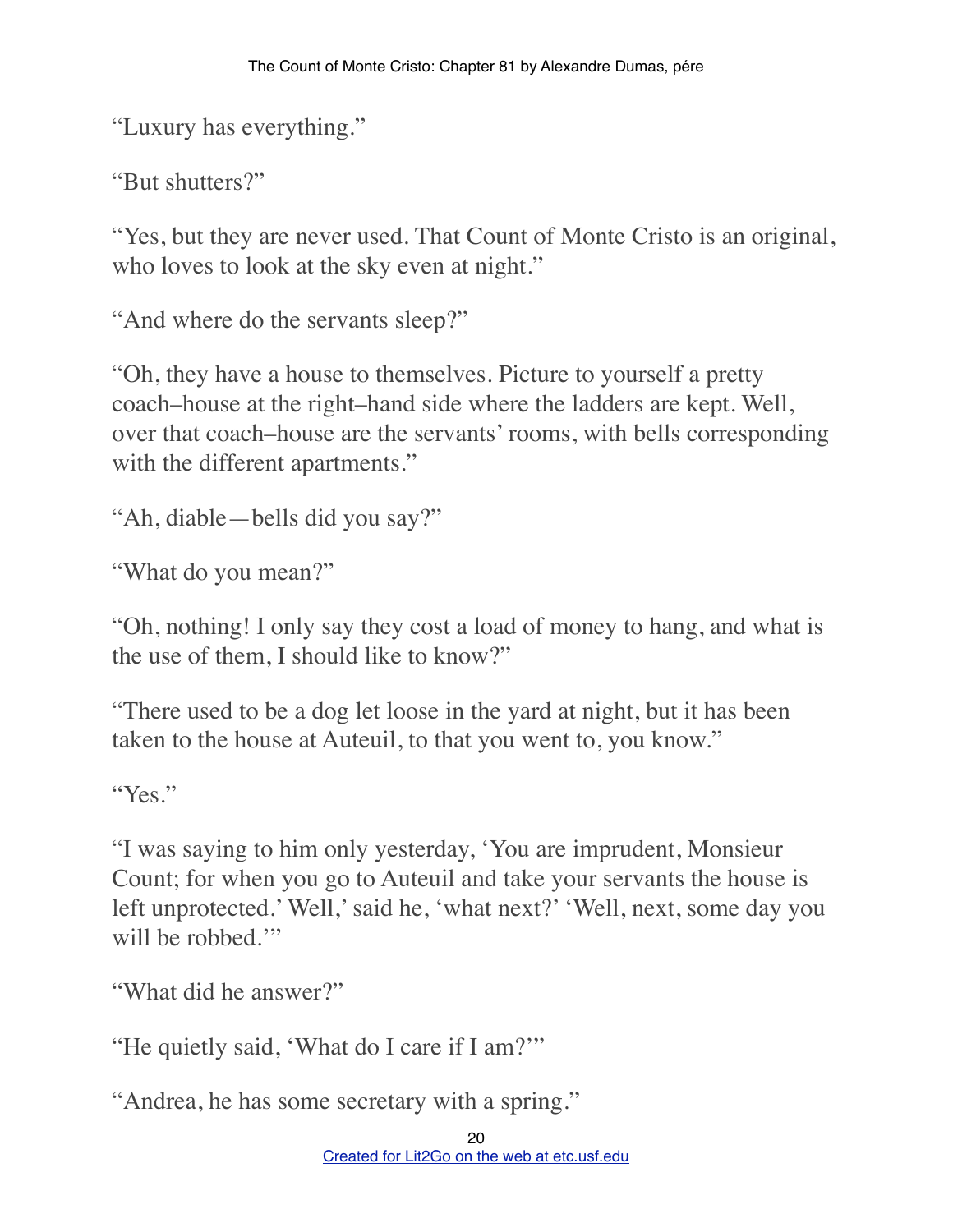"Luxury has everything."

"But shutters?"

"Yes, but they are never used. That Count of Monte Cristo is an original, who loves to look at the sky even at night."

"And where do the servants sleep?"

"Oh, they have a house to themselves. Picture to yourself a pretty coach–house at the right–hand side where the ladders are kept. Well, over that coach–house are the servants' rooms, with bells corresponding with the different apartments."

```
"Ah, diable—bells did you say?"
```

```
"What do you mean?"
```
"Oh, nothing! I only say they cost a load of money to hang, and what is the use of them, I should like to know?"

"There used to be a dog let loose in the yard at night, but it has been taken to the house at Auteuil, to that you went to, you know."

"Yes."

"I was saying to him only yesterday, 'You are imprudent, Monsieur Count; for when you go to Auteuil and take your servants the house is left unprotected.' Well,' said he, 'what next?' 'Well, next, some day you will be robbed."

"What did he answer?"

"He quietly said, 'What do I care if I am?'"

"Andrea, he has some secretary with a spring."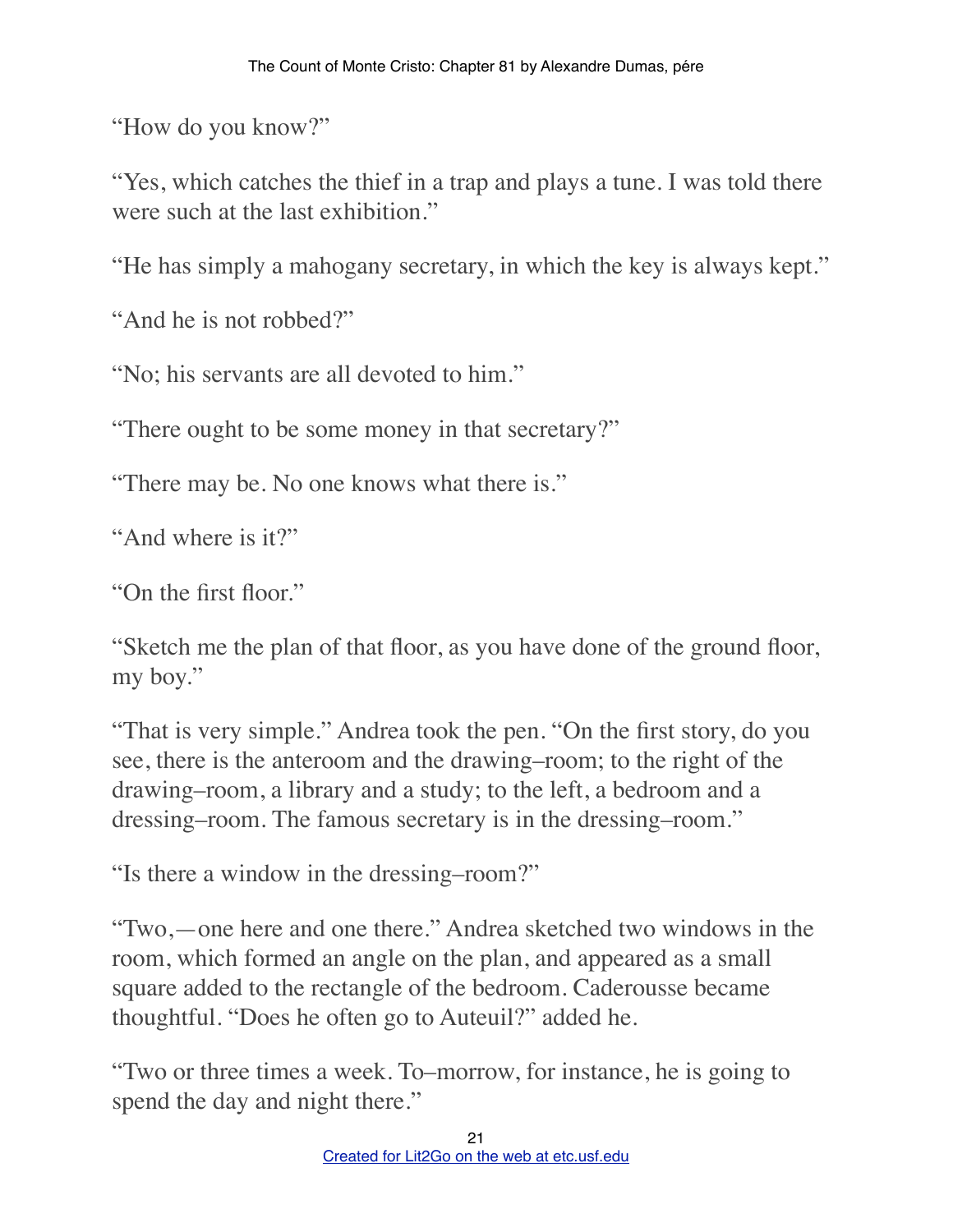"How do you know?"

"Yes, which catches the thief in a trap and plays a tune. I was told there were such at the last exhibition."

"He has simply a mahogany secretary, in which the key is always kept."

"And he is not robbed?"

"No; his servants are all devoted to him."

"There ought to be some money in that secretary?"

"There may be. No one knows what there is."

"And where is it?"

"On the first floor."

"Sketch me the plan of that floor, as you have done of the ground floor, my boy."

"That is very simple." Andrea took the pen. "On the first story, do you see, there is the anteroom and the drawing–room; to the right of the drawing–room, a library and a study; to the left, a bedroom and a dressing–room. The famous secretary is in the dressing–room."

"Is there a window in the dressing–room?"

"Two,—one here and one there." Andrea sketched two windows in the room, which formed an angle on the plan, and appeared as a small square added to the rectangle of the bedroom. Caderousse became thoughtful. "Does he often go to Auteuil?" added he.

"Two or three times a week. To–morrow, for instance, he is going to spend the day and night there."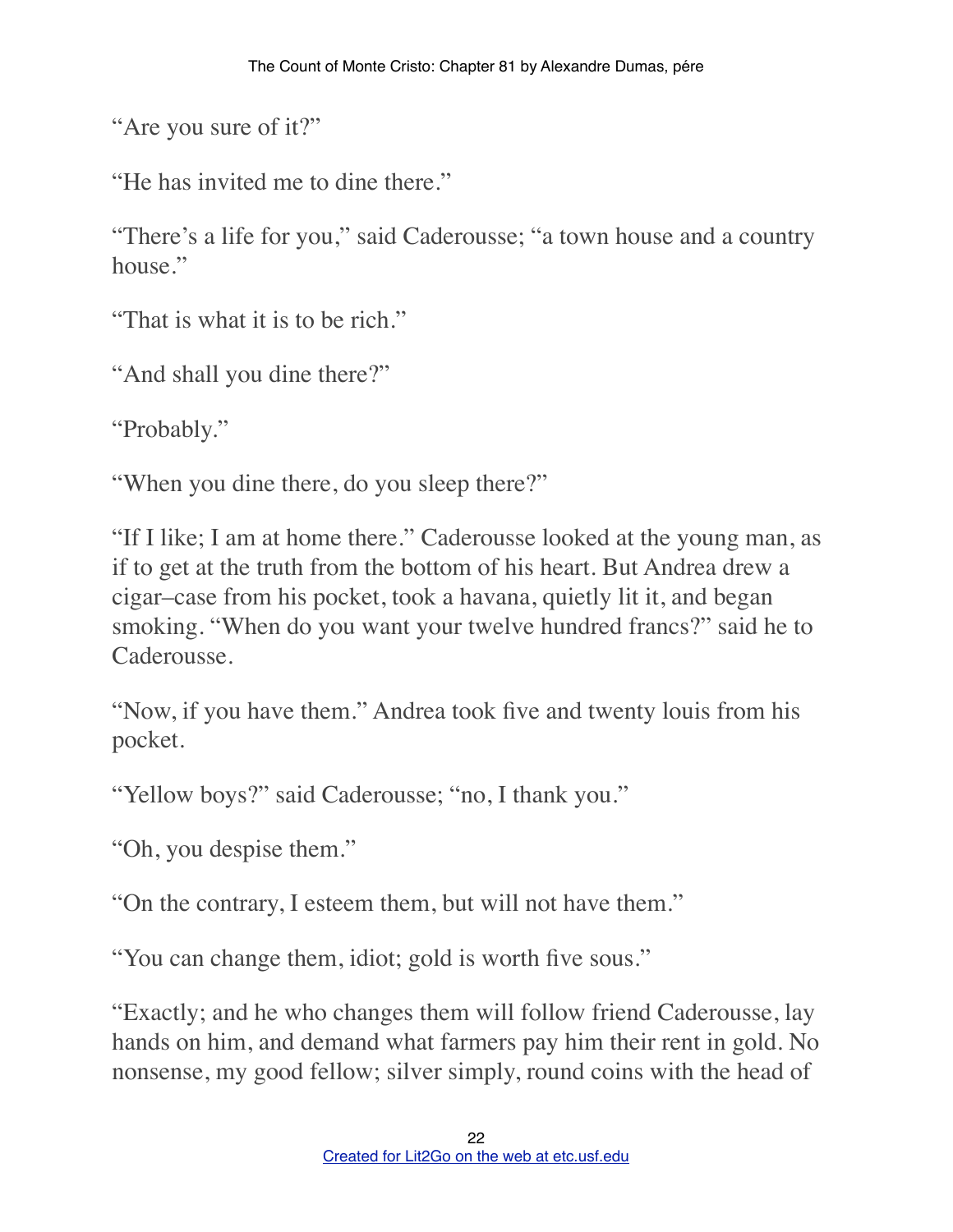"Are you sure of it?"

"He has invited me to dine there."

"There's a life for you," said Caderousse; "a town house and a country house."

"That is what it is to be rich."

"And shall you dine there?"

"Probably."

"When you dine there, do you sleep there?"

"If I like; I am at home there." Caderousse looked at the young man, as if to get at the truth from the bottom of his heart. But Andrea drew a cigar–case from his pocket, took a havana, quietly lit it, and began smoking. "When do you want your twelve hundred francs?" said he to Caderousse.

"Now, if you have them." Andrea took five and twenty louis from his pocket.

"Yellow boys?" said Caderousse; "no, I thank you."

"Oh, you despise them."

"On the contrary, I esteem them, but will not have them."

"You can change them, idiot; gold is worth five sous."

"Exactly; and he who changes them will follow friend Caderousse, lay hands on him, and demand what farmers pay him their rent in gold. No nonsense, my good fellow; silver simply, round coins with the head of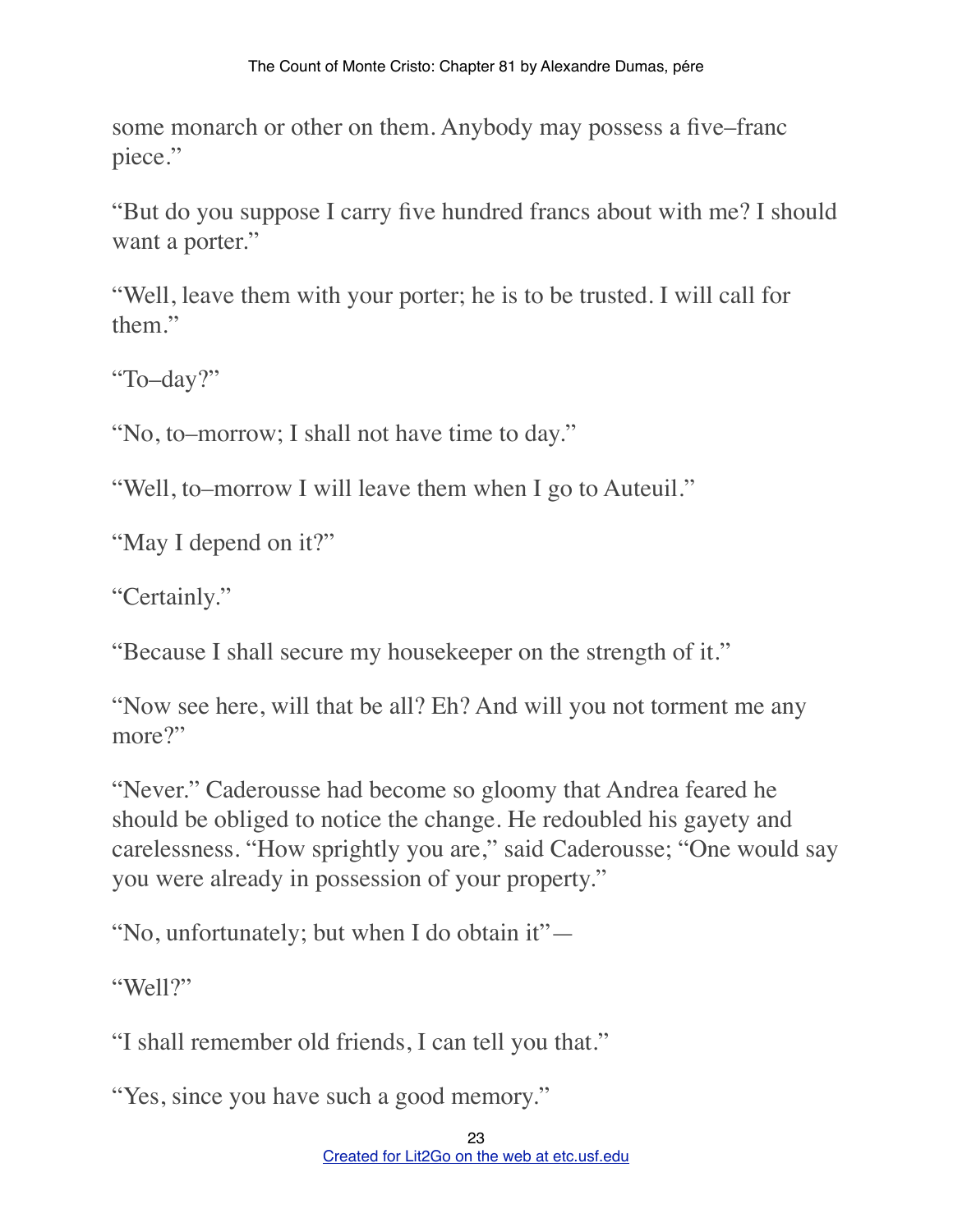some monarch or other on them. Anybody may possess a five–franc piece."

"But do you suppose I carry five hundred francs about with me? I should want a porter."

"Well, leave them with your porter; he is to be trusted. I will call for them."

"To–day?"

"No, to–morrow; I shall not have time to day."

"Well, to–morrow I will leave them when I go to Auteuil."

"May I depend on it?"

"Certainly."

"Because I shall secure my housekeeper on the strength of it."

"Now see here, will that be all? Eh? And will you not torment me any more?"

"Never." Caderousse had become so gloomy that Andrea feared he should be obliged to notice the change. He redoubled his gayety and carelessness. "How sprightly you are," said Caderousse; "One would say you were already in possession of your property."

"No, unfortunately; but when I do obtain it"—

"Well?"

"I shall remember old friends, I can tell you that."

"Yes, since you have such a good memory."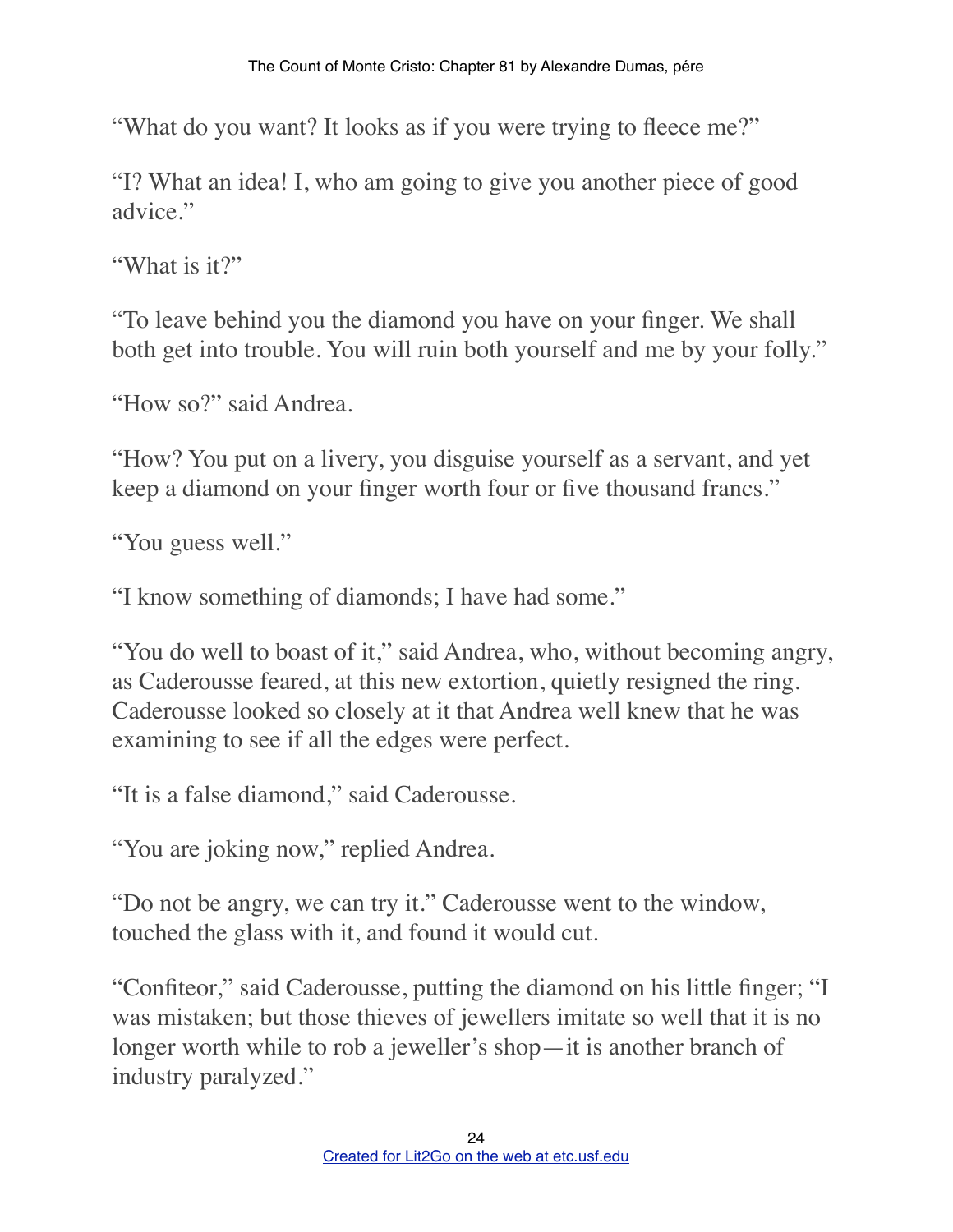"What do you want? It looks as if you were trying to fleece me?"

"I? What an idea! I, who am going to give you another piece of good advice."

"What is it?"

"To leave behind you the diamond you have on your finger. We shall both get into trouble. You will ruin both yourself and me by your folly."

"How so?" said Andrea.

"How? You put on a livery, you disguise yourself as a servant, and yet keep a diamond on your finger worth four or five thousand francs."

"You guess well."

"I know something of diamonds; I have had some."

"You do well to boast of it," said Andrea, who, without becoming angry, as Caderousse feared, at this new extortion, quietly resigned the ring. Caderousse looked so closely at it that Andrea well knew that he was examining to see if all the edges were perfect.

"It is a false diamond," said Caderousse.

"You are joking now," replied Andrea.

"Do not be angry, we can try it." Caderousse went to the window, touched the glass with it, and found it would cut.

"Confiteor," said Caderousse, putting the diamond on his little finger; "I was mistaken; but those thieves of jewellers imitate so well that it is no longer worth while to rob a jeweller's shop—it is another branch of industry paralyzed."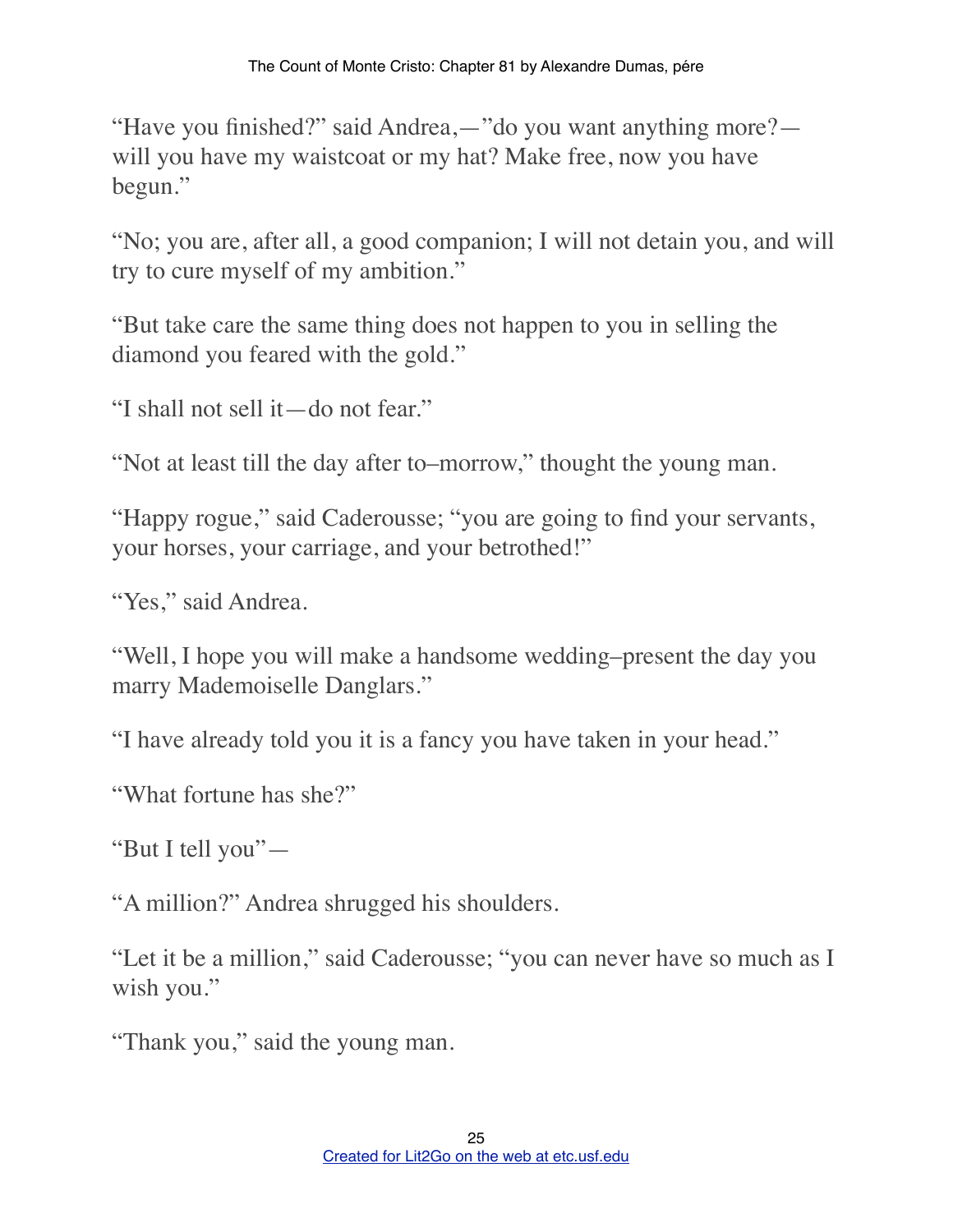"Have you finished?" said Andrea,—"do you want anything more? will you have my waistcoat or my hat? Make free, now you have begun."

"No; you are, after all, a good companion; I will not detain you, and will try to cure myself of my ambition."

"But take care the same thing does not happen to you in selling the diamond you feared with the gold."

"I shall not sell it—do not fear."

"Not at least till the day after to–morrow," thought the young man.

"Happy rogue," said Caderousse; "you are going to find your servants, your horses, your carriage, and your betrothed!"

"Yes," said Andrea.

"Well, I hope you will make a handsome wedding–present the day you marry Mademoiselle Danglars."

"I have already told you it is a fancy you have taken in your head."

"What fortune has she?"

"But I tell you"—

"A million?" Andrea shrugged his shoulders.

"Let it be a million," said Caderousse; "you can never have so much as I wish you."

"Thank you," said the young man.